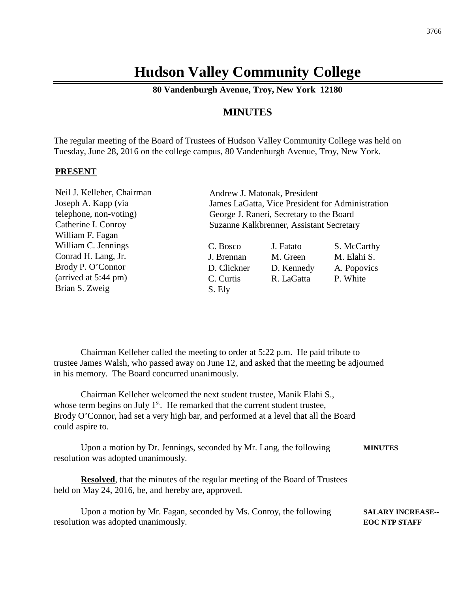# **Hudson Valley Community College**

**80 Vandenburgh Avenue, Troy, New York 12180**

# **MINUTES**

The regular meeting of the Board of Trustees of Hudson Valley Community College was held on Tuesday, June 28, 2016 on the college campus, 80 Vandenburgh Avenue, Troy, New York.

#### **PRESENT**

Neil J. Kelleher, Chairman Joseph A. Kapp (via telephone, non-voting) Catherine I. Conroy William F. Fagan William C. Jennings Conrad H. Lang, Jr. Brody P. O'Connor (arrived at 5:44 pm) Brian S. Zweig

Andrew J. Matonak, President James LaGatta, Vice President for Administration George J. Raneri, Secretary to the Board Suzanne Kalkbrenner, Assistant Secretary

| C. Bosco    | J. Fatato  | S. McCarthy |
|-------------|------------|-------------|
| J. Brennan  | M. Green   | M. Elahi S. |
| D. Clickner | D. Kennedy | A. Popovics |
| C. Curtis   | R. LaGatta | P. White    |
| S. Ely      |            |             |

Chairman Kelleher called the meeting to order at 5:22 p.m. He paid tribute to trustee James Walsh, who passed away on June 12, and asked that the meeting be adjourned in his memory. The Board concurred unanimously.

Chairman Kelleher welcomed the next student trustee, Manik Elahi S., whose term begins on July  $1<sup>st</sup>$ . He remarked that the current student trustee, Brody O'Connor, had set a very high bar, and performed at a level that all the Board could aspire to.

Upon a motion by Dr. Jennings, seconded by Mr. Lang, the following **MINUTES** resolution was adopted unanimously.

**Resolved**, that the minutes of the regular meeting of the Board of Trustees held on May 24, 2016, be, and hereby are, approved.

| Upon a motion by Mr. Fagan, seconded by Ms. Conroy, the following | <b>SALARY INCREASE--</b> |
|-------------------------------------------------------------------|--------------------------|
| resolution was adopted unanimously.                               | <b>EOC NTP STAFF</b>     |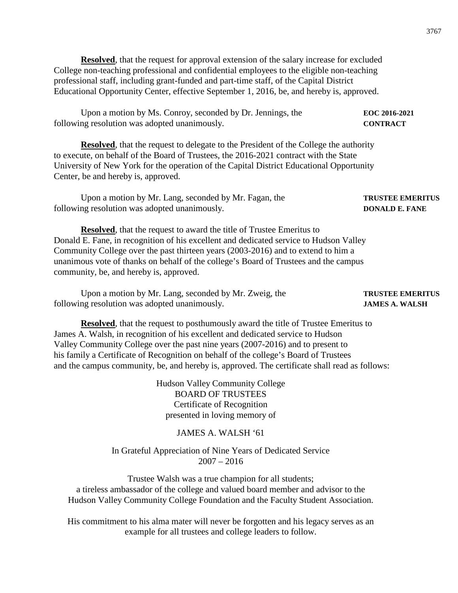**Resolved**, that the request for approval extension of the salary increase for excluded College non-teaching professional and confidential employees to the eligible non-teaching professional staff, including grant-funded and part-time staff, of the Capital District Educational Opportunity Center, effective September 1, 2016, be, and hereby is, approved.

Upon a motion by Ms. Conroy, seconded by Dr. Jennings, the **EOC 2016-2021** following resolution was adopted unanimously. **CONTRACT**

**Resolved**, that the request to delegate to the President of the College the authority to execute, on behalf of the Board of Trustees, the 2016-2021 contract with the State University of New York for the operation of the Capital District Educational Opportunity Center, be and hereby is, approved.

Upon a motion by Mr. Lang, seconded by Mr. Fagan, the **TRUSTEE EMERITUS** following resolution was adopted unanimously. **DONALD E. FANE** 

**Resolved**, that the request to award the title of Trustee Emeritus to Donald E. Fane, in recognition of his excellent and dedicated service to Hudson Valley Community College over the past thirteen years (2003-2016) and to extend to him a unanimous vote of thanks on behalf of the college's Board of Trustees and the campus community, be, and hereby is, approved.

Upon a motion by Mr. Lang, seconded by Mr. Zweig, the **TRUSTEE EMERITUS** following resolution was adopted unanimously. **JAMES A. WALSH**

# **Resolved**, that the request to posthumously award the title of Trustee Emeritus to James A. Walsh, in recognition of his excellent and dedicated service to Hudson Valley Community College over the past nine years (2007-2016) and to present to his family a Certificate of Recognition on behalf of the college's Board of Trustees and the campus community, be, and hereby is, approved. The certificate shall read as follows:

Hudson Valley Community College BOARD OF TRUSTEES Certificate of Recognition presented in loving memory of

# JAMES A. WALSH '61

### In Grateful Appreciation of Nine Years of Dedicated Service 2007 – 2016

Trustee Walsh was a true champion for all students; a tireless ambassador of the college and valued board member and advisor to the Hudson Valley Community College Foundation and the Faculty Student Association.

His commitment to his alma mater will never be forgotten and his legacy serves as an example for all trustees and college leaders to follow.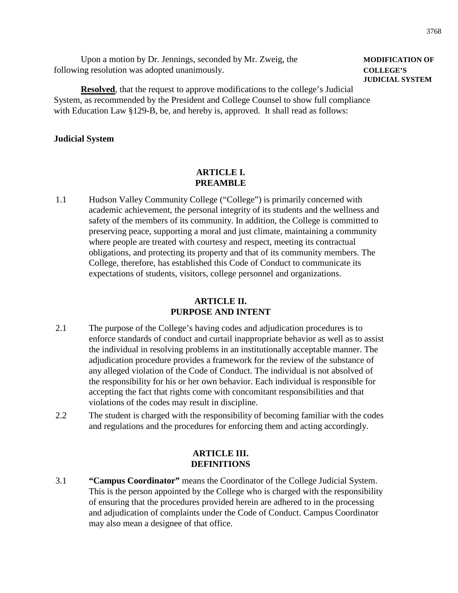| Upon a motion by Dr. Jennings, seconded by Mr. Zweig, the | <b>MODIFICAT</b> |
|-----------------------------------------------------------|------------------|
| following resolution was adopted unanimously.             | <b>COLLEGE'S</b> |

# **Resolved**, that the request to approve modifications to the college's Judicial System, as recommended by the President and College Counsel to show full compliance with Education Law §129-B, be, and hereby is, approved. It shall read as follows:

### **Judicial System**

# **ARTICLE I. PREAMBLE**

1.1 Hudson Valley Community College ("College") is primarily concerned with academic achievement, the personal integrity of its students and the wellness and safety of the members of its community. In addition, the College is committed to preserving peace, supporting a moral and just climate, maintaining a community where people are treated with courtesy and respect, meeting its contractual obligations, and protecting its property and that of its community members. The College, therefore, has established this Code of Conduct to communicate its expectations of students, visitors, college personnel and organizations.

# **ARTICLE II. PURPOSE AND INTENT**

- 2.1 The purpose of the College's having codes and adjudication procedures is to enforce standards of conduct and curtail inappropriate behavior as well as to assist the individual in resolving problems in an institutionally acceptable manner. The adjudication procedure provides a framework for the review of the substance of any alleged violation of the Code of Conduct. The individual is not absolved of the responsibility for his or her own behavior. Each individual is responsible for accepting the fact that rights come with concomitant responsibilities and that violations of the codes may result in discipline.
- 2.2 The student is charged with the responsibility of becoming familiar with the codes and regulations and the procedures for enforcing them and acting accordingly.

# **ARTICLE III. DEFINITIONS**

3.1 **"Campus Coordinator"** means the Coordinator of the College Judicial System. This is the person appointed by the College who is charged with the responsibility of ensuring that the procedures provided herein are adhered to in the processing and adjudication of complaints under the Code of Conduct. Campus Coordinator may also mean a designee of that office.

# **MODIFICATION OF JUDICIAL SYSTEM**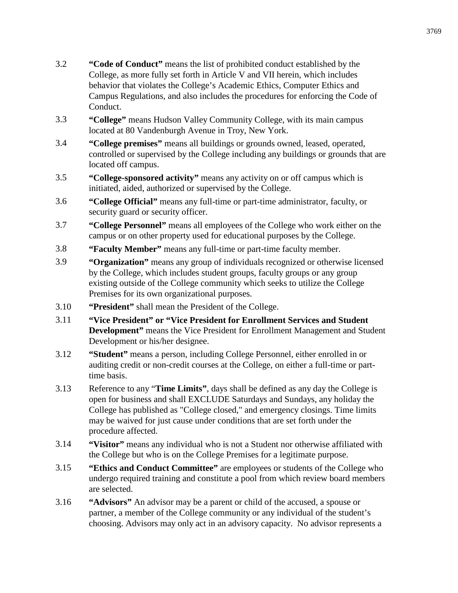- 3.2 **"Code of Conduct"** means the list of prohibited conduct established by the College, as more fully set forth in Article V and VII herein, which includes behavior that violates the College's Academic Ethics, Computer Ethics and Campus Regulations, and also includes the procedures for enforcing the Code of Conduct.
- 3.3 **"College"** means Hudson Valley Community College, with its main campus located at 80 Vandenburgh Avenue in Troy, New York.
- 3.4 **"College premises"** means all buildings or grounds owned, leased, operated, controlled or supervised by the College including any buildings or grounds that are located off campus.
- 3.5 **"College-sponsored activity"** means any activity on or off campus which is initiated, aided, authorized or supervised by the College.
- 3.6 **"College Official"** means any full-time or part-time administrator, faculty, or security guard or security officer.
- 3.7 **"College Personnel"** means all employees of the College who work either on the campus or on other property used for educational purposes by the College.
- 3.8 **"Faculty Member"** means any full-time or part-time faculty member.
- 3.9 **"Organization"** means any group of individuals recognized or otherwise licensed by the College, which includes student groups, faculty groups or any group existing outside of the College community which seeks to utilize the College Premises for its own organizational purposes.
- 3.10 **"President"** shall mean the President of the College.
- 3.11 **"Vice President" or "Vice President for Enrollment Services and Student Development"** means the Vice President for Enrollment Management and Student Development or his/her designee.
- 3.12 **"Student"** means a person, including College Personnel, either enrolled in or auditing credit or non-credit courses at the College, on either a full-time or parttime basis.
- 3.13 Reference to any "**Time Limits"**, days shall be defined as any day the College is open for business and shall EXCLUDE Saturdays and Sundays, any holiday the College has published as "College closed," and emergency closings. Time limits may be waived for just cause under conditions that are set forth under the procedure affected.
- 3.14 **"Visitor"** means any individual who is not a Student nor otherwise affiliated with the College but who is on the College Premises for a legitimate purpose.
- 3.15 **"Ethics and Conduct Committee"** are employees or students of the College who undergo required training and constitute a pool from which review board members are selected.
- 3.16 **"Advisors"** An advisor may be a parent or child of the accused, a spouse or partner, a member of the College community or any individual of the student's choosing. Advisors may only act in an advisory capacity. No advisor represents a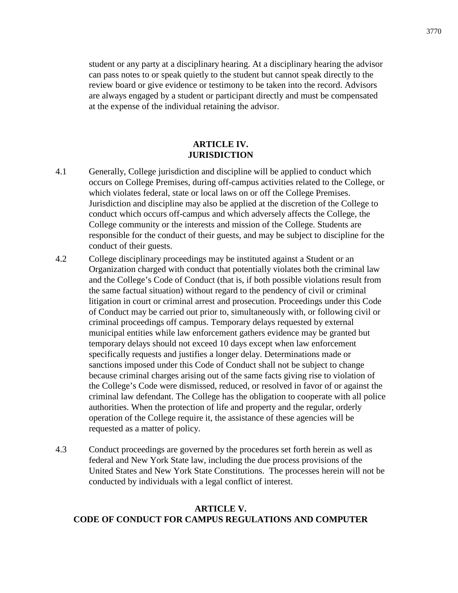student or any party at a disciplinary hearing. At a disciplinary hearing the advisor can pass notes to or speak quietly to the student but cannot speak directly to the review board or give evidence or testimony to be taken into the record. Advisors are always engaged by a student or participant directly and must be compensated at the expense of the individual retaining the advisor.

### **ARTICLE IV. JURISDICTION**

- 4.1 Generally, College jurisdiction and discipline will be applied to conduct which occurs on College Premises, during off-campus activities related to the College, or which violates federal, state or local laws on or off the College Premises. Jurisdiction and discipline may also be applied at the discretion of the College to conduct which occurs off-campus and which adversely affects the College, the College community or the interests and mission of the College. Students are responsible for the conduct of their guests, and may be subject to discipline for the conduct of their guests.
- 4.2 College disciplinary proceedings may be instituted against a Student or an Organization charged with conduct that potentially violates both the criminal law and the College's Code of Conduct (that is, if both possible violations result from the same factual situation) without regard to the pendency of civil or criminal litigation in court or criminal arrest and prosecution. Proceedings under this Code of Conduct may be carried out prior to, simultaneously with, or following civil or criminal proceedings off campus. Temporary delays requested by external municipal entities while law enforcement gathers evidence may be granted but temporary delays should not exceed 10 days except when law enforcement specifically requests and justifies a longer delay. Determinations made or sanctions imposed under this Code of Conduct shall not be subject to change because criminal charges arising out of the same facts giving rise to violation of the College's Code were dismissed, reduced, or resolved in favor of or against the criminal law defendant. The College has the obligation to cooperate with all police authorities. When the protection of life and property and the regular, orderly operation of the College require it, the assistance of these agencies will be requested as a matter of policy.
- 4.3 Conduct proceedings are governed by the procedures set forth herein as well as federal and New York State law, including the due process provisions of the United States and New York State Constitutions. The processes herein will not be conducted by individuals with a legal conflict of interest.

# **ARTICLE V. CODE OF CONDUCT FOR CAMPUS REGULATIONS AND COMPUTER**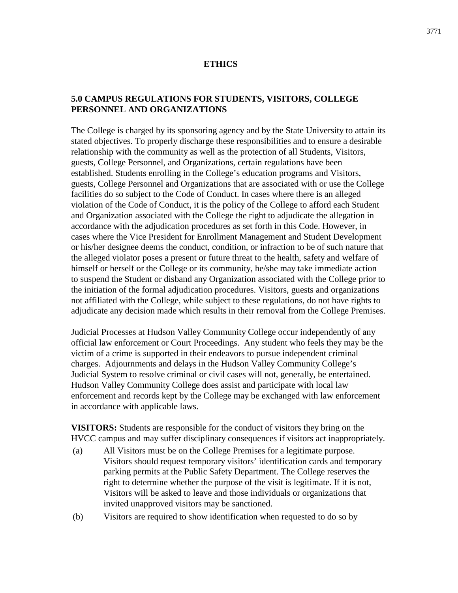#### **ETHICS**

# **5.0 CAMPUS REGULATIONS FOR STUDENTS, VISITORS, COLLEGE PERSONNEL AND ORGANIZATIONS**

The College is charged by its sponsoring agency and by the State University to attain its stated objectives. To properly discharge these responsibilities and to ensure a desirable relationship with the community as well as the protection of all Students, Visitors, guests, College Personnel, and Organizations, certain regulations have been established. Students enrolling in the College's education programs and Visitors, guests, College Personnel and Organizations that are associated with or use the College facilities do so subject to the Code of Conduct. In cases where there is an alleged violation of the Code of Conduct, it is the policy of the College to afford each Student and Organization associated with the College the right to adjudicate the allegation in accordance with the adjudication procedures as set forth in this Code. However, in cases where the Vice President for Enrollment Management and Student Development or his/her designee deems the conduct, condition, or infraction to be of such nature that the alleged violator poses a present or future threat to the health, safety and welfare of himself or herself or the College or its community, he/she may take immediate action to suspend the Student or disband any Organization associated with the College prior to the initiation of the formal adjudication procedures. Visitors, guests and organizations not affiliated with the College, while subject to these regulations, do not have rights to adjudicate any decision made which results in their removal from the College Premises.

Judicial Processes at Hudson Valley Community College occur independently of any official law enforcement or Court Proceedings. Any student who feels they may be the victim of a crime is supported in their endeavors to pursue independent criminal charges. Adjournments and delays in the Hudson Valley Community College's Judicial System to resolve criminal or civil cases will not, generally, be entertained. Hudson Valley Community College does assist and participate with local law enforcement and records kept by the College may be exchanged with law enforcement in accordance with applicable laws.

**VISITORS:** Students are responsible for the conduct of visitors they bring on the HVCC campus and may suffer disciplinary consequences if visitors act inappropriately.

- (a) All Visitors must be on the College Premises for a legitimate purpose. Visitors should request temporary visitors' identification cards and temporary parking permits at the Public Safety Department. The College reserves the right to determine whether the purpose of the visit is legitimate. If it is not, Visitors will be asked to leave and those individuals or organizations that invited unapproved visitors may be sanctioned.
- (b) Visitors are required to show identification when requested to do so by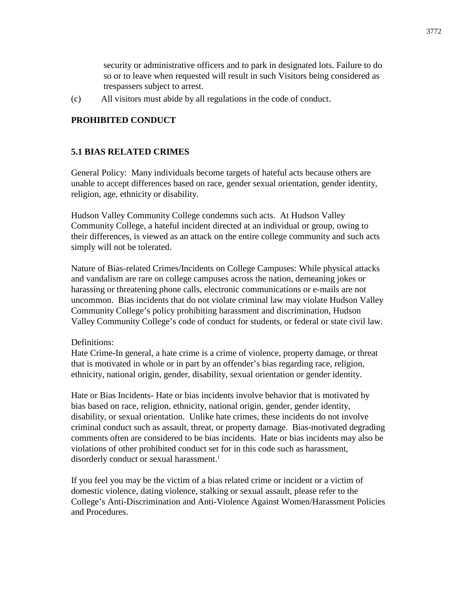security or administrative officers and to park in designated lots. Failure to do so or to leave when requested will result in such Visitors being considered as trespassers subject to arrest.

(c) All visitors must abide by all regulations in the code of conduct.

# **PROHIBITED CONDUCT**

# **5.1 BIAS RELATED CRIMES**

General Policy: Many individuals become targets of hateful acts because others are unable to accept differences based on race, gender sexual orientation, gender identity, religion, age, ethnicity or disability.

Hudson Valley Community College condemns such acts. At Hudson Valley Community College, a hateful incident directed at an individual or group, owing to their differences, is viewed as an attack on the entire college community and such acts simply will not be tolerated.

Nature of Bias-related Crimes/Incidents on College Campuses: While physical attacks and vandalism are rare on college campuses across the nation, demeaning jokes or harassing or threatening phone calls, electronic communications or e-mails are not uncommon. Bias incidents that do not violate criminal law may violate Hudson Valley Community College's policy prohibiting harassment and discrimination, Hudson Valley Community College's code of conduct for students, or federal or state civil law.

#### Definitions:

Hate Crime-In general, a hate crime is a crime of violence, property damage, or threat that is motivated in whole or in part by an offender's bias regarding race, religion, ethnicity, national origin, gender, disability, sexual orientation or gender identity.

Hate or Bias Incidents- Hate or bias incidents involve behavior that is motivated by bias based on race, religion, ethnicity, national origin, gender, gender identity, disability, or sexual orientation. Unlike hate crimes, these incidents do not involve criminal conduct such as assault, threat, or property damage. Bias-motivated degrading comments often are considered to be bias incidents. Hate or bias incidents may also be violations of other prohibited conduct set for in this code such as harassment, disorderly conduct or sexual harassment.<sup>i</sup>

If you feel you may be the victim of a bias related crime or incident or a victim of domestic violence, dating violence, stalking or sexual assault, please refer to the College's Anti-Discrimination and Anti-Violence Against Women/Harassment Policies and Procedures.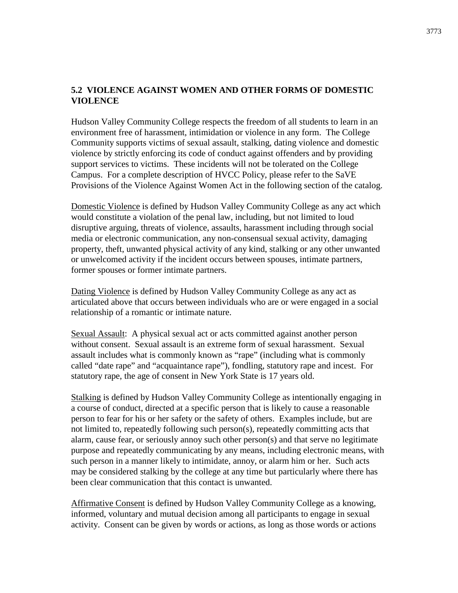# **5.2 VIOLENCE AGAINST WOMEN AND OTHER FORMS OF DOMESTIC VIOLENCE**

Hudson Valley Community College respects the freedom of all students to learn in an environment free of harassment, intimidation or violence in any form. The College Community supports victims of sexual assault, stalking, dating violence and domestic violence by strictly enforcing its code of conduct against offenders and by providing support services to victims. These incidents will not be tolerated on the College Campus. For a complete description of HVCC Policy, please refer to the SaVE Provisions of the Violence Against Women Act in the following section of the catalog.

Domestic Violence is defined by Hudson Valley Community College as any act which would constitute a violation of the penal law, including, but not limited to loud disruptive arguing, threats of violence, assaults, harassment including through social media or electronic communication, any non-consensual sexual activity, damaging property, theft, unwanted physical activity of any kind, stalking or any other unwanted or unwelcomed activity if the incident occurs between spouses, intimate partners, former spouses or former intimate partners.

Dating Violence is defined by Hudson Valley Community College as any act as articulated above that occurs between individuals who are or were engaged in a social relationship of a romantic or intimate nature.

Sexual Assault: A physical sexual act or acts committed against another person without consent. Sexual assault is an extreme form of sexual harassment. Sexual assault includes what is commonly known as "rape" (including what is commonly called "date rape" and "acquaintance rape"), fondling, statutory rape and incest. For statutory rape, the age of consent in New York State is 17 years old.

Stalking is defined by Hudson Valley Community College as intentionally engaging in a course of conduct, directed at a specific person that is likely to cause a reasonable person to fear for his or her safety or the safety of others. Examples include, but are not limited to, repeatedly following such person(s), repeatedly committing acts that alarm, cause fear, or seriously annoy such other person(s) and that serve no legitimate purpose and repeatedly communicating by any means, including electronic means, with such person in a manner likely to intimidate, annoy, or alarm him or her. Such acts may be considered stalking by the college at any time but particularly where there has been clear communication that this contact is unwanted.

Affirmative Consent is defined by Hudson Valley Community College as a knowing, informed, voluntary and mutual decision among all participants to engage in sexual activity. Consent can be given by words or actions, as long as those words or actions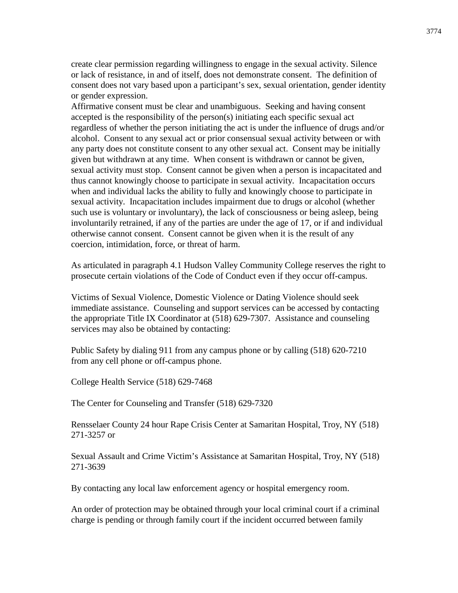create clear permission regarding willingness to engage in the sexual activity. Silence or lack of resistance, in and of itself, does not demonstrate consent. The definition of consent does not vary based upon a participant's sex, sexual orientation, gender identity or gender expression.

Affirmative consent must be clear and unambiguous. Seeking and having consent accepted is the responsibility of the person(s) initiating each specific sexual act regardless of whether the person initiating the act is under the influence of drugs and/or alcohol. Consent to any sexual act or prior consensual sexual activity between or with any party does not constitute consent to any other sexual act. Consent may be initially given but withdrawn at any time. When consent is withdrawn or cannot be given, sexual activity must stop. Consent cannot be given when a person is incapacitated and thus cannot knowingly choose to participate in sexual activity. Incapacitation occurs when and individual lacks the ability to fully and knowingly choose to participate in sexual activity. Incapacitation includes impairment due to drugs or alcohol (whether such use is voluntary or involuntary), the lack of consciousness or being asleep, being involuntarily retrained, if any of the parties are under the age of 17, or if and individual otherwise cannot consent. Consent cannot be given when it is the result of any coercion, intimidation, force, or threat of harm.

As articulated in paragraph 4.1 Hudson Valley Community College reserves the right to prosecute certain violations of the Code of Conduct even if they occur off-campus.

Victims of Sexual Violence, Domestic Violence or Dating Violence should seek immediate assistance. Counseling and support services can be accessed by contacting the appropriate Title IX Coordinator at (518) 629-7307. Assistance and counseling services may also be obtained by contacting:

Public Safety by dialing 911 from any campus phone or by calling (518) 620-7210 from any cell phone or off-campus phone.

College Health Service (518) 629-7468

The Center for Counseling and Transfer (518) 629-7320

Rensselaer County 24 hour Rape Crisis Center at Samaritan Hospital, Troy, NY (518) 271-3257 or

Sexual Assault and Crime Victim's Assistance at Samaritan Hospital, Troy, NY (518) 271-3639

By contacting any local law enforcement agency or hospital emergency room.

An order of protection may be obtained through your local criminal court if a criminal charge is pending or through family court if the incident occurred between family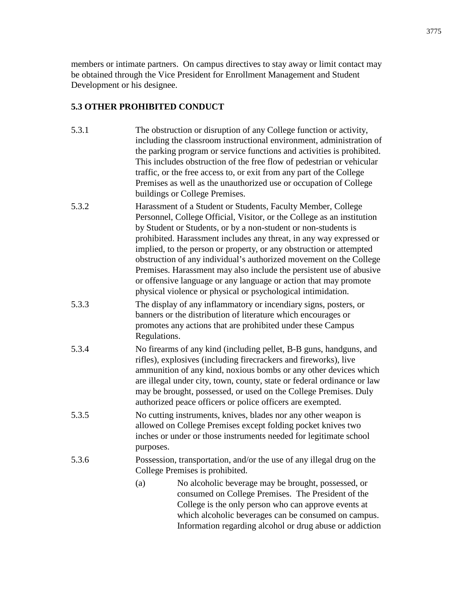members or intimate partners. On campus directives to stay away or limit contact may be obtained through the Vice President for Enrollment Management and Student Development or his designee.

# **5.3 OTHER PROHIBITED CONDUCT**

- 5.3.1 The obstruction or disruption of any College function or activity, including the classroom instructional environment, administration of the parking program or service functions and activities is prohibited. This includes obstruction of the free flow of pedestrian or vehicular traffic, or the free access to, or exit from any part of the College Premises as well as the unauthorized use or occupation of College buildings or College Premises.
- 5.3.2 Harassment of a Student or Students, Faculty Member, College Personnel, College Official, Visitor, or the College as an institution by Student or Students, or by a non-student or non-students is prohibited. Harassment includes any threat, in any way expressed or implied, to the person or property, or any obstruction or attempted obstruction of any individual's authorized movement on the College Premises. Harassment may also include the persistent use of abusive or offensive language or any language or action that may promote physical violence or physical or psychological intimidation.
- 5.3.3 The display of any inflammatory or incendiary signs, posters, or banners or the distribution of literature which encourages or promotes any actions that are prohibited under these Campus Regulations.
- 5.3.4 No firearms of any kind (including pellet, B-B guns, handguns, and rifles), explosives (including firecrackers and fireworks), live ammunition of any kind, noxious bombs or any other devices which are illegal under city, town, county, state or federal ordinance or law may be brought, possessed, or used on the College Premises. Duly authorized peace officers or police officers are exempted.
- 5.3.5 No cutting instruments, knives, blades nor any other weapon is allowed on College Premises except folding pocket knives two inches or under or those instruments needed for legitimate school purposes.
- 5.3.6 Possession, transportation, and/or the use of any illegal drug on the College Premises is prohibited.
	- (a) No alcoholic beverage may be brought, possessed, or consumed on College Premises. The President of the College is the only person who can approve events at which alcoholic beverages can be consumed on campus. Information regarding alcohol or drug abuse or addiction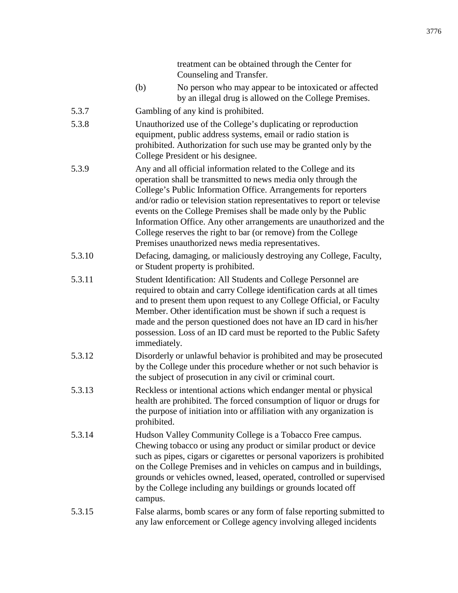|        |              | Counseling and Transfer.                                                                                                                                                                                                                                                                                                                                                                                                                                                                                                                         |
|--------|--------------|--------------------------------------------------------------------------------------------------------------------------------------------------------------------------------------------------------------------------------------------------------------------------------------------------------------------------------------------------------------------------------------------------------------------------------------------------------------------------------------------------------------------------------------------------|
|        | (b)          | No person who may appear to be intoxicated or affected<br>by an illegal drug is allowed on the College Premises.                                                                                                                                                                                                                                                                                                                                                                                                                                 |
| 5.3.7  |              | Gambling of any kind is prohibited.                                                                                                                                                                                                                                                                                                                                                                                                                                                                                                              |
| 5.3.8  |              | Unauthorized use of the College's duplicating or reproduction<br>equipment, public address systems, email or radio station is<br>prohibited. Authorization for such use may be granted only by the<br>College President or his designee.                                                                                                                                                                                                                                                                                                         |
| 5.3.9  |              | Any and all official information related to the College and its<br>operation shall be transmitted to news media only through the<br>College's Public Information Office. Arrangements for reporters<br>and/or radio or television station representatives to report or televise<br>events on the College Premises shall be made only by the Public<br>Information Office. Any other arrangements are unauthorized and the<br>College reserves the right to bar (or remove) from the College<br>Premises unauthorized news media representatives. |
| 5.3.10 |              | Defacing, damaging, or maliciously destroying any College, Faculty,<br>or Student property is prohibited.                                                                                                                                                                                                                                                                                                                                                                                                                                        |
| 5.3.11 | immediately. | Student Identification: All Students and College Personnel are<br>required to obtain and carry College identification cards at all times<br>and to present them upon request to any College Official, or Faculty<br>Member. Other identification must be shown if such a request is<br>made and the person questioned does not have an ID card in his/her<br>possession. Loss of an ID card must be reported to the Public Safety                                                                                                                |
|        |              |                                                                                                                                                                                                                                                                                                                                                                                                                                                                                                                                                  |

treatment can be obtained through the Center for

- 5.3.12 Disorderly or unlawful behavior is prohibited and may be prosecuted by the College under this procedure whether or not such behavior is the subject of prosecution in any civil or criminal court.
- 5.3.13 Reckless or intentional actions which endanger mental or physical health are prohibited. The forced consumption of liquor or drugs for the purpose of initiation into or affiliation with any organization is prohibited.
- 5.3.14 Hudson Valley Community College is a Tobacco Free campus. Chewing tobacco or using any product or similar product or device such as pipes, cigars or cigarettes or personal vaporizers is prohibited on the College Premises and in vehicles on campus and in buildings, grounds or vehicles owned, leased, operated, controlled or supervised by the College including any buildings or grounds located off campus.

# 5.3.15 False alarms, bomb scares or any form of false reporting submitted to any law enforcement or College agency involving alleged incidents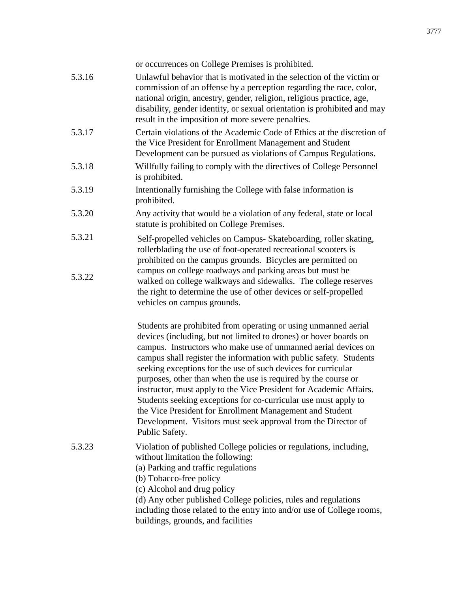|        | or occurrences on College Premises is prohibited.                                                                                                                                                                                                                                                                                                                                                                                                                                                                                                                                                                                                                                                       |
|--------|---------------------------------------------------------------------------------------------------------------------------------------------------------------------------------------------------------------------------------------------------------------------------------------------------------------------------------------------------------------------------------------------------------------------------------------------------------------------------------------------------------------------------------------------------------------------------------------------------------------------------------------------------------------------------------------------------------|
| 5.3.16 | Unlawful behavior that is motivated in the selection of the victim or<br>commission of an offense by a perception regarding the race, color,<br>national origin, ancestry, gender, religion, religious practice, age,<br>disability, gender identity, or sexual orientation is prohibited and may<br>result in the imposition of more severe penalties.                                                                                                                                                                                                                                                                                                                                                 |
| 5.3.17 | Certain violations of the Academic Code of Ethics at the discretion of<br>the Vice President for Enrollment Management and Student<br>Development can be pursued as violations of Campus Regulations.                                                                                                                                                                                                                                                                                                                                                                                                                                                                                                   |
| 5.3.18 | Willfully failing to comply with the directives of College Personnel<br>is prohibited.                                                                                                                                                                                                                                                                                                                                                                                                                                                                                                                                                                                                                  |
| 5.3.19 | Intentionally furnishing the College with false information is<br>prohibited.                                                                                                                                                                                                                                                                                                                                                                                                                                                                                                                                                                                                                           |
| 5.3.20 | Any activity that would be a violation of any federal, state or local<br>statute is prohibited on College Premises.                                                                                                                                                                                                                                                                                                                                                                                                                                                                                                                                                                                     |
| 5.3.21 | Self-propelled vehicles on Campus- Skateboarding, roller skating,<br>rollerblading the use of foot-operated recreational scooters is<br>prohibited on the campus grounds. Bicycles are permitted on                                                                                                                                                                                                                                                                                                                                                                                                                                                                                                     |
| 5.3.22 | campus on college roadways and parking areas but must be<br>walked on college walkways and sidewalks. The college reserves<br>the right to determine the use of other devices or self-propelled<br>vehicles on campus grounds.                                                                                                                                                                                                                                                                                                                                                                                                                                                                          |
|        | Students are prohibited from operating or using unmanned aerial<br>devices (including, but not limited to drones) or hover boards on<br>campus. Instructors who make use of unmanned aerial devices on<br>campus shall register the information with public safety. Students<br>seeking exceptions for the use of such devices for curricular<br>purposes, other than when the use is required by the course or<br>instructor, must apply to the Vice President for Academic Affairs.<br>Students seeking exceptions for co-curricular use must apply to<br>the Vice President for Enrollment Management and Student<br>Development. Visitors must seek approval from the Director of<br>Public Safety. |
| 5.3.23 | Violation of published College policies or regulations, including,<br>without limitation the following:<br>(a) Parking and traffic regulations<br>(b) Tobacco-free policy<br>(c) Alcohol and drug policy<br>(d) Any other published College policies, rules and regulations<br>including those related to the entry into and/or use of College rooms,<br>buildings, grounds, and facilities                                                                                                                                                                                                                                                                                                             |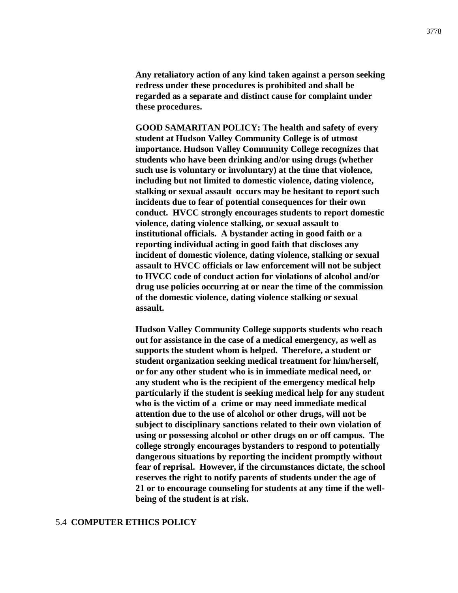**Any retaliatory action of any kind taken against a person seeking redress under these procedures is prohibited and shall be regarded as a separate and distinct cause for complaint under these procedures.**

**GOOD SAMARITAN POLICY: The health and safety of every student at Hudson Valley Community College is of utmost importance. Hudson Valley Community College recognizes that students who have been drinking and/or using drugs (whether such use is voluntary or involuntary) at the time that violence, including but not limited to domestic violence, dating violence, stalking or sexual assault occurs may be hesitant to report such incidents due to fear of potential consequences for their own conduct. HVCC strongly encourages students to report domestic violence, dating violence stalking, or sexual assault to institutional officials. A bystander acting in good faith or a reporting individual acting in good faith that discloses any incident of domestic violence, dating violence, stalking or sexual assault to HVCC officials or law enforcement will not be subject to HVCC code of conduct action for violations of alcohol and/or drug use policies occurring at or near the time of the commission of the domestic violence, dating violence stalking or sexual assault.**

**Hudson Valley Community College supports students who reach out for assistance in the case of a medical emergency, as well as supports the student whom is helped. Therefore, a student or student organization seeking medical treatment for him/herself, or for any other student who is in immediate medical need, or any student who is the recipient of the emergency medical help particularly if the student is seeking medical help for any student who is the victim of a crime or may need immediate medical attention due to the use of alcohol or other drugs, will not be subject to disciplinary sanctions related to their own violation of using or possessing alcohol or other drugs on or off campus. The college strongly encourages bystanders to respond to potentially dangerous situations by reporting the incident promptly without fear of reprisal. However, if the circumstances dictate, the school reserves the right to notify parents of students under the age of 21 or to encourage counseling for students at any time if the wellbeing of the student is at risk.**

#### 5.4 **COMPUTER ETHICS POLICY**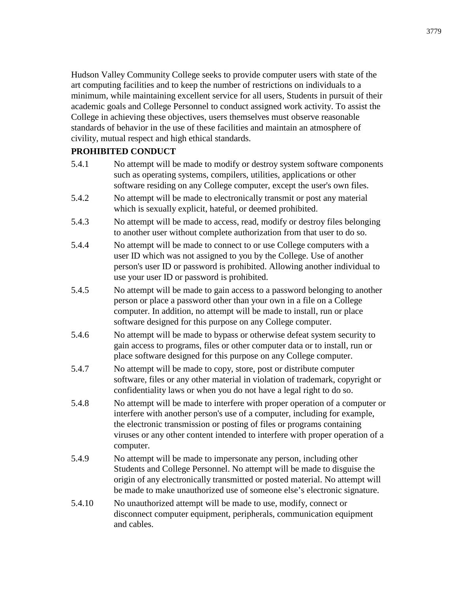Hudson Valley Community College seeks to provide computer users with state of the art computing facilities and to keep the number of restrictions on individuals to a minimum, while maintaining excellent service for all users, Students in pursuit of their academic goals and College Personnel to conduct assigned work activity. To assist the College in achieving these objectives, users themselves must observe reasonable standards of behavior in the use of these facilities and maintain an atmosphere of civility, mutual respect and high ethical standards.

# **PROHIBITED CONDUCT**

- 5.4.1 No attempt will be made to modify or destroy system software components such as operating systems, compilers, utilities, applications or other software residing on any College computer, except the user's own files.
- 5.4.2 No attempt will be made to electronically transmit or post any material which is sexually explicit, hateful, or deemed prohibited.
- 5.4.3 No attempt will be made to access, read, modify or destroy files belonging to another user without complete authorization from that user to do so.
- 5.4.4 No attempt will be made to connect to or use College computers with a user ID which was not assigned to you by the College. Use of another person's user ID or password is prohibited. Allowing another individual to use your user ID or password is prohibited.
- 5.4.5 No attempt will be made to gain access to a password belonging to another person or place a password other than your own in a file on a College computer. In addition, no attempt will be made to install, run or place software designed for this purpose on any College computer.
- 5.4.6 No attempt will be made to bypass or otherwise defeat system security to gain access to programs, files or other computer data or to install, run or place software designed for this purpose on any College computer.
- 5.4.7 No attempt will be made to copy, store, post or distribute computer software, files or any other material in violation of trademark, copyright or confidentiality laws or when you do not have a legal right to do so.
- 5.4.8 No attempt will be made to interfere with proper operation of a computer or interfere with another person's use of a computer, including for example, the electronic transmission or posting of files or programs containing viruses or any other content intended to interfere with proper operation of a computer.
- 5.4.9 No attempt will be made to impersonate any person, including other Students and College Personnel. No attempt will be made to disguise the origin of any electronically transmitted or posted material. No attempt will be made to make unauthorized use of someone else's electronic signature.
- 5.4.10 No unauthorized attempt will be made to use, modify, connect or disconnect computer equipment, peripherals, communication equipment and cables.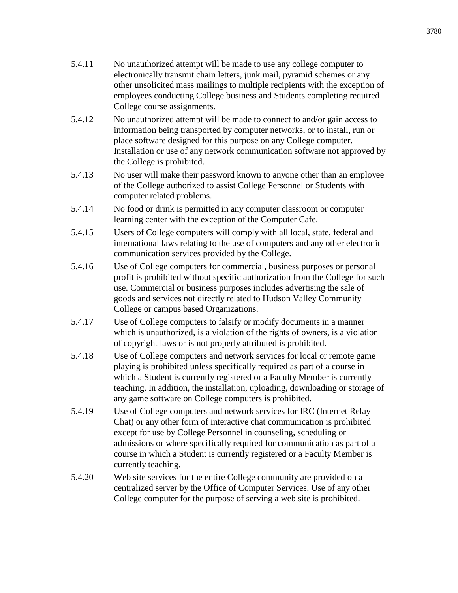- 5.4.11 No unauthorized attempt will be made to use any college computer to electronically transmit chain letters, junk mail, pyramid schemes or any other unsolicited mass mailings to multiple recipients with the exception of employees conducting College business and Students completing required College course assignments.
- 5.4.12 No unauthorized attempt will be made to connect to and/or gain access to information being transported by computer networks, or to install, run or place software designed for this purpose on any College computer. Installation or use of any network communication software not approved by the College is prohibited.
- 5.4.13 No user will make their password known to anyone other than an employee of the College authorized to assist College Personnel or Students with computer related problems.
- 5.4.14 No food or drink is permitted in any computer classroom or computer learning center with the exception of the Computer Cafe.
- 5.4.15 Users of College computers will comply with all local, state, federal and international laws relating to the use of computers and any other electronic communication services provided by the College.
- 5.4.16 Use of College computers for commercial, business purposes or personal profit is prohibited without specific authorization from the College for such use. Commercial or business purposes includes advertising the sale of goods and services not directly related to Hudson Valley Community College or campus based Organizations.
- 5.4.17 Use of College computers to falsify or modify documents in a manner which is unauthorized, is a violation of the rights of owners, is a violation of copyright laws or is not properly attributed is prohibited.
- 5.4.18 Use of College computers and network services for local or remote game playing is prohibited unless specifically required as part of a course in which a Student is currently registered or a Faculty Member is currently teaching. In addition, the installation, uploading, downloading or storage of any game software on College computers is prohibited.
- 5.4.19 Use of College computers and network services for IRC (Internet Relay Chat) or any other form of interactive chat communication is prohibited except for use by College Personnel in counseling, scheduling or admissions or where specifically required for communication as part of a course in which a Student is currently registered or a Faculty Member is currently teaching.
- 5.4.20 Web site services for the entire College community are provided on a centralized server by the Office of Computer Services. Use of any other College computer for the purpose of serving a web site is prohibited.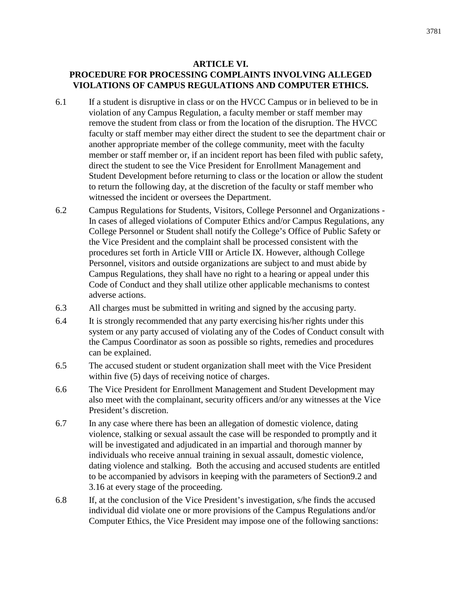#### **ARTICLE VI.**

# **PROCEDURE FOR PROCESSING COMPLAINTS INVOLVING ALLEGED VIOLATIONS OF CAMPUS REGULATIONS AND COMPUTER ETHICS.**

- 6.1 If a student is disruptive in class or on the HVCC Campus or in believed to be in violation of any Campus Regulation, a faculty member or staff member may remove the student from class or from the location of the disruption. The HVCC faculty or staff member may either direct the student to see the department chair or another appropriate member of the college community, meet with the faculty member or staff member or, if an incident report has been filed with public safety, direct the student to see the Vice President for Enrollment Management and Student Development before returning to class or the location or allow the student to return the following day, at the discretion of the faculty or staff member who witnessed the incident or oversees the Department.
- 6.2 Campus Regulations for Students, Visitors, College Personnel and Organizations In cases of alleged violations of Computer Ethics and/or Campus Regulations, any College Personnel or Student shall notify the College's Office of Public Safety or the Vice President and the complaint shall be processed consistent with the procedures set forth in Article VIII or Article IX. However, although College Personnel, visitors and outside organizations are subject to and must abide by Campus Regulations, they shall have no right to a hearing or appeal under this Code of Conduct and they shall utilize other applicable mechanisms to contest adverse actions.
- 6.3 All charges must be submitted in writing and signed by the accusing party.
- 6.4 It is strongly recommended that any party exercising his/her rights under this system or any party accused of violating any of the Codes of Conduct consult with the Campus Coordinator as soon as possible so rights, remedies and procedures can be explained.
- 6.5 The accused student or student organization shall meet with the Vice President within five (5) days of receiving notice of charges.
- 6.6 The Vice President for Enrollment Management and Student Development may also meet with the complainant, security officers and/or any witnesses at the Vice President's discretion.
- 6.7 In any case where there has been an allegation of domestic violence, dating violence, stalking or sexual assault the case will be responded to promptly and it will be investigated and adjudicated in an impartial and thorough manner by individuals who receive annual training in sexual assault, domestic violence, dating violence and stalking. Both the accusing and accused students are entitled to be accompanied by advisors in keeping with the parameters of Section9.2 and 3.16 at every stage of the proceeding.
- 6.8 If, at the conclusion of the Vice President's investigation, s/he finds the accused individual did violate one or more provisions of the Campus Regulations and/or Computer Ethics, the Vice President may impose one of the following sanctions: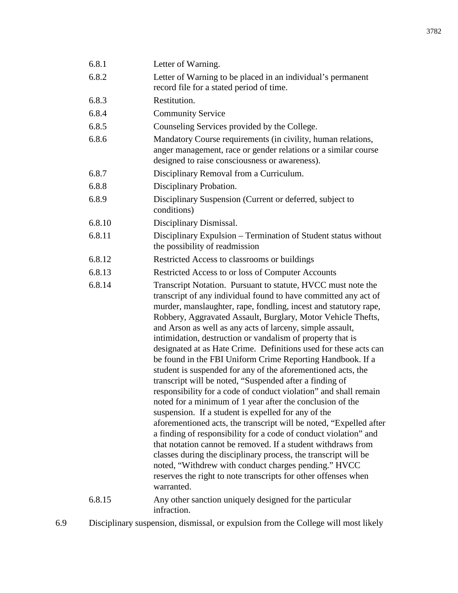| 6.8.1  | Letter of Warning.                                                                                                                                                                                                                                                                                                                                                                                                                                                                                                                                                                                                                                                                                                                                                                                                                                                                                                                                                                                                                                                                                                                                                                                                                                                       |
|--------|--------------------------------------------------------------------------------------------------------------------------------------------------------------------------------------------------------------------------------------------------------------------------------------------------------------------------------------------------------------------------------------------------------------------------------------------------------------------------------------------------------------------------------------------------------------------------------------------------------------------------------------------------------------------------------------------------------------------------------------------------------------------------------------------------------------------------------------------------------------------------------------------------------------------------------------------------------------------------------------------------------------------------------------------------------------------------------------------------------------------------------------------------------------------------------------------------------------------------------------------------------------------------|
| 6.8.2  | Letter of Warning to be placed in an individual's permanent<br>record file for a stated period of time.                                                                                                                                                                                                                                                                                                                                                                                                                                                                                                                                                                                                                                                                                                                                                                                                                                                                                                                                                                                                                                                                                                                                                                  |
| 6.8.3  | Restitution.                                                                                                                                                                                                                                                                                                                                                                                                                                                                                                                                                                                                                                                                                                                                                                                                                                                                                                                                                                                                                                                                                                                                                                                                                                                             |
| 6.8.4  | <b>Community Service</b>                                                                                                                                                                                                                                                                                                                                                                                                                                                                                                                                                                                                                                                                                                                                                                                                                                                                                                                                                                                                                                                                                                                                                                                                                                                 |
| 6.8.5  | Counseling Services provided by the College.                                                                                                                                                                                                                                                                                                                                                                                                                                                                                                                                                                                                                                                                                                                                                                                                                                                                                                                                                                                                                                                                                                                                                                                                                             |
| 6.8.6  | Mandatory Course requirements (in civility, human relations,<br>anger management, race or gender relations or a similar course<br>designed to raise consciousness or awareness).                                                                                                                                                                                                                                                                                                                                                                                                                                                                                                                                                                                                                                                                                                                                                                                                                                                                                                                                                                                                                                                                                         |
| 6.8.7  | Disciplinary Removal from a Curriculum.                                                                                                                                                                                                                                                                                                                                                                                                                                                                                                                                                                                                                                                                                                                                                                                                                                                                                                                                                                                                                                                                                                                                                                                                                                  |
| 6.8.8  | Disciplinary Probation.                                                                                                                                                                                                                                                                                                                                                                                                                                                                                                                                                                                                                                                                                                                                                                                                                                                                                                                                                                                                                                                                                                                                                                                                                                                  |
| 6.8.9  | Disciplinary Suspension (Current or deferred, subject to<br>conditions)                                                                                                                                                                                                                                                                                                                                                                                                                                                                                                                                                                                                                                                                                                                                                                                                                                                                                                                                                                                                                                                                                                                                                                                                  |
| 6.8.10 | Disciplinary Dismissal.                                                                                                                                                                                                                                                                                                                                                                                                                                                                                                                                                                                                                                                                                                                                                                                                                                                                                                                                                                                                                                                                                                                                                                                                                                                  |
| 6.8.11 | Disciplinary Expulsion – Termination of Student status without<br>the possibility of readmission                                                                                                                                                                                                                                                                                                                                                                                                                                                                                                                                                                                                                                                                                                                                                                                                                                                                                                                                                                                                                                                                                                                                                                         |
| 6.8.12 | Restricted Access to classrooms or buildings                                                                                                                                                                                                                                                                                                                                                                                                                                                                                                                                                                                                                                                                                                                                                                                                                                                                                                                                                                                                                                                                                                                                                                                                                             |
| 6.8.13 | Restricted Access to or loss of Computer Accounts                                                                                                                                                                                                                                                                                                                                                                                                                                                                                                                                                                                                                                                                                                                                                                                                                                                                                                                                                                                                                                                                                                                                                                                                                        |
| 6.8.14 | Transcript Notation. Pursuant to statute, HVCC must note the<br>transcript of any individual found to have committed any act of<br>murder, manslaughter, rape, fondling, incest and statutory rape,<br>Robbery, Aggravated Assault, Burglary, Motor Vehicle Thefts,<br>and Arson as well as any acts of larceny, simple assault,<br>intimidation, destruction or vandalism of property that is<br>designated at as Hate Crime. Definitions used for these acts can<br>be found in the FBI Uniform Crime Reporting Handbook. If a<br>student is suspended for any of the aforementioned acts, the<br>transcript will be noted, "Suspended after a finding of<br>responsibility for a code of conduct violation" and shall remain<br>noted for a minimum of 1 year after the conclusion of the<br>suspension. If a student is expelled for any of the<br>aforementioned acts, the transcript will be noted, "Expelled after<br>a finding of responsibility for a code of conduct violation" and<br>that notation cannot be removed. If a student withdraws from<br>classes during the disciplinary process, the transcript will be<br>noted, "Withdrew with conduct charges pending." HVCC<br>reserves the right to note transcripts for other offenses when<br>warranted. |
| 6.8.15 | Any other sanction uniquely designed for the particular<br>infraction.                                                                                                                                                                                                                                                                                                                                                                                                                                                                                                                                                                                                                                                                                                                                                                                                                                                                                                                                                                                                                                                                                                                                                                                                   |

6.9 Disciplinary suspension, dismissal, or expulsion from the College will most likely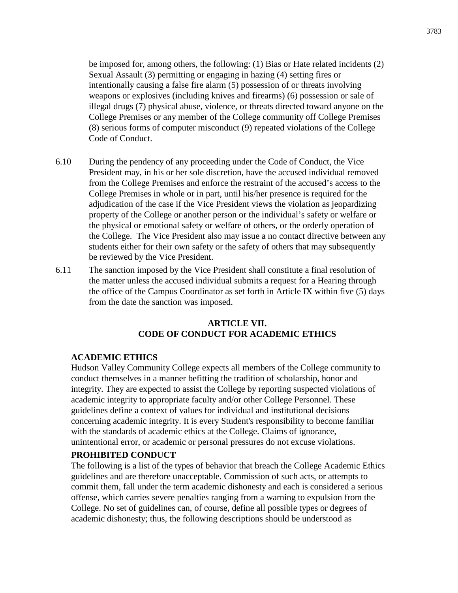be imposed for, among others, the following: (1) Bias or Hate related incidents (2) Sexual Assault (3) permitting or engaging in hazing (4) setting fires or intentionally causing a false fire alarm (5) possession of or threats involving weapons or explosives (including knives and firearms) (6) possession or sale of illegal drugs (7) physical abuse, violence, or threats directed toward anyone on the College Premises or any member of the College community off College Premises (8) serious forms of computer misconduct (9) repeated violations of the College Code of Conduct.

- 6.10 During the pendency of any proceeding under the Code of Conduct, the Vice President may, in his or her sole discretion, have the accused individual removed from the College Premises and enforce the restraint of the accused's access to the College Premises in whole or in part, until his/her presence is required for the adjudication of the case if the Vice President views the violation as jeopardizing property of the College or another person or the individual's safety or welfare or the physical or emotional safety or welfare of others, or the orderly operation of the College. The Vice President also may issue a no contact directive between any students either for their own safety or the safety of others that may subsequently be reviewed by the Vice President.
- 6.11 The sanction imposed by the Vice President shall constitute a final resolution of the matter unless the accused individual submits a request for a Hearing through the office of the Campus Coordinator as set forth in Article IX within five (5) days from the date the sanction was imposed.

# **ARTICLE VII. CODE OF CONDUCT FOR ACADEMIC ETHICS**

#### **ACADEMIC ETHICS**

Hudson Valley Community College expects all members of the College community to conduct themselves in a manner befitting the tradition of scholarship, honor and integrity. They are expected to assist the College by reporting suspected violations of academic integrity to appropriate faculty and/or other College Personnel. These guidelines define a context of values for individual and institutional decisions concerning academic integrity. It is every Student's responsibility to become familiar with the standards of academic ethics at the College. Claims of ignorance, unintentional error, or academic or personal pressures do not excuse violations.

#### **PROHIBITED CONDUCT**

The following is a list of the types of behavior that breach the College Academic Ethics guidelines and are therefore unacceptable. Commission of such acts, or attempts to commit them, fall under the term academic dishonesty and each is considered a serious offense, which carries severe penalties ranging from a warning to expulsion from the College. No set of guidelines can, of course, define all possible types or degrees of academic dishonesty; thus, the following descriptions should be understood as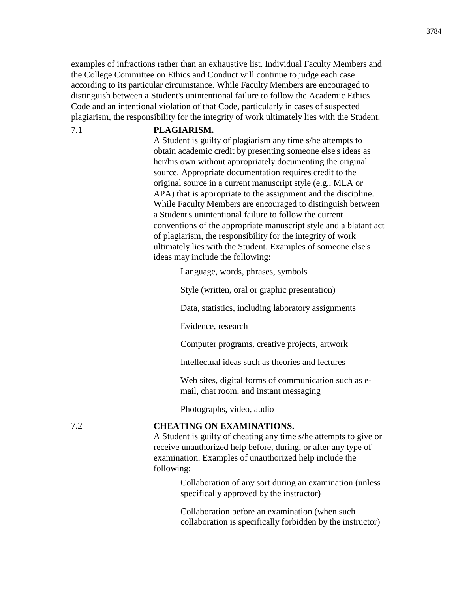examples of infractions rather than an exhaustive list. Individual Faculty Members and the College Committee on Ethics and Conduct will continue to judge each case according to its particular circumstance. While Faculty Members are encouraged to distinguish between a Student's unintentional failure to follow the Academic Ethics Code and an intentional violation of that Code, particularly in cases of suspected plagiarism, the responsibility for the integrity of work ultimately lies with the Student.

#### 7.1 **PLAGIARISM.**

A Student is guilty of plagiarism any time s/he attempts to obtain academic credit by presenting someone else's ideas as her/his own without appropriately documenting the original source. Appropriate documentation requires credit to the original source in a current manuscript style (e.g., MLA or APA) that is appropriate to the assignment and the discipline. While Faculty Members are encouraged to distinguish between a Student's unintentional failure to follow the current conventions of the appropriate manuscript style and a blatant act of plagiarism, the responsibility for the integrity of work ultimately lies with the Student. Examples of someone else's ideas may include the following:

Language, words, phrases, symbols

Style (written, oral or graphic presentation)

Data, statistics, including laboratory assignments

Evidence, research

Computer programs, creative projects, artwork

Intellectual ideas such as theories and lectures

Web sites, digital forms of communication such as email, chat room, and instant messaging

Photographs, video, audio

# 7.2 **CHEATING ON EXAMINATIONS.**

A Student is guilty of cheating any time s/he attempts to give or receive unauthorized help before, during, or after any type of examination. Examples of unauthorized help include the following:

> Collaboration of any sort during an examination (unless specifically approved by the instructor)

> Collaboration before an examination (when such collaboration is specifically forbidden by the instructor)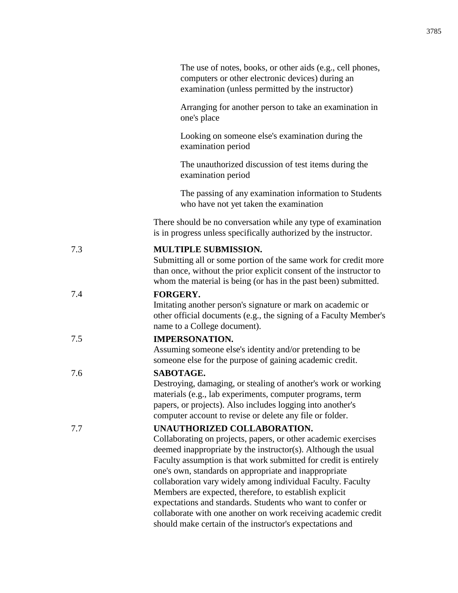|     | The use of notes, books, or other aids (e.g., cell phones,<br>computers or other electronic devices) during an<br>examination (unless permitted by the instructor)                                                                                                                                                                                                                                                                                                                                                                                                                                               |
|-----|------------------------------------------------------------------------------------------------------------------------------------------------------------------------------------------------------------------------------------------------------------------------------------------------------------------------------------------------------------------------------------------------------------------------------------------------------------------------------------------------------------------------------------------------------------------------------------------------------------------|
|     | Arranging for another person to take an examination in<br>one's place                                                                                                                                                                                                                                                                                                                                                                                                                                                                                                                                            |
|     | Looking on someone else's examination during the<br>examination period                                                                                                                                                                                                                                                                                                                                                                                                                                                                                                                                           |
|     | The unauthorized discussion of test items during the<br>examination period                                                                                                                                                                                                                                                                                                                                                                                                                                                                                                                                       |
|     | The passing of any examination information to Students<br>who have not yet taken the examination                                                                                                                                                                                                                                                                                                                                                                                                                                                                                                                 |
|     | There should be no conversation while any type of examination<br>is in progress unless specifically authorized by the instructor.                                                                                                                                                                                                                                                                                                                                                                                                                                                                                |
| 7.3 | MULTIPLE SUBMISSION.<br>Submitting all or some portion of the same work for credit more<br>than once, without the prior explicit consent of the instructor to<br>whom the material is being (or has in the past been) submitted.                                                                                                                                                                                                                                                                                                                                                                                 |
| 7.4 | <b>FORGERY.</b><br>Imitating another person's signature or mark on academic or<br>other official documents (e.g., the signing of a Faculty Member's<br>name to a College document).                                                                                                                                                                                                                                                                                                                                                                                                                              |
| 7.5 | <b>IMPERSONATION.</b><br>Assuming someone else's identity and/or pretending to be<br>someone else for the purpose of gaining academic credit.                                                                                                                                                                                                                                                                                                                                                                                                                                                                    |
| 7.6 | SABOTAGE.<br>Destroying, damaging, or stealing of another's work or working<br>materials (e.g., lab experiments, computer programs, term<br>papers, or projects). Also includes logging into another's<br>computer account to revise or delete any file or folder.                                                                                                                                                                                                                                                                                                                                               |
| 7.7 | UNAUTHORIZED COLLABORATION.<br>Collaborating on projects, papers, or other academic exercises<br>deemed inappropriate by the instructor(s). Although the usual<br>Faculty assumption is that work submitted for credit is entirely<br>one's own, standards on appropriate and inappropriate<br>collaboration vary widely among individual Faculty. Faculty<br>Members are expected, therefore, to establish explicit<br>expectations and standards. Students who want to confer or<br>collaborate with one another on work receiving academic credit<br>should make certain of the instructor's expectations and |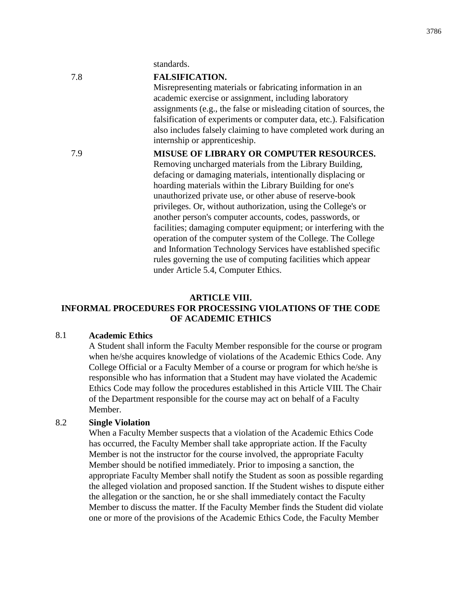standards.

| 7.8 | <b>FALSIFICATION.</b>                                                                            |
|-----|--------------------------------------------------------------------------------------------------|
|     | Misrepresenting materials or fabricating information in an                                       |
|     | academic exercise or assignment, including laboratory                                            |
|     | assignments (e.g., the false or misleading citation of sources, the                              |
|     | falsification of experiments or computer data, etc.). Falsification                              |
|     | also includes falsely claiming to have completed work during an<br>internship or apprenticeship. |
| 7.9 | <b>MISUSE OF LIBRARY OR COMPUTER RESOURCES.</b>                                                  |
|     | Removing uncharged materials from the Library Building,                                          |
|     | defacing or damaging materials, intentionally displacing or                                      |
|     | hoarding materials within the Library Building for one's                                         |
|     | unauthorized private use, or other abuse of reserve-book                                         |
|     | privileges. Or, without authorization, using the College's or                                    |
|     | another person's computer accounts, codes, passwords, or                                         |
|     | facilities; damaging computer equipment; or interfering with the                                 |
|     | operation of the computer system of the College. The College                                     |
|     | and Information Technology Services have established specific                                    |
|     | rules governing the use of computing facilities which appear                                     |
|     | under Article 5.4, Computer Ethics.                                                              |
|     |                                                                                                  |

#### **ARTICLE VIII.**

# **INFORMAL PROCEDURES FOR PROCESSING VIOLATIONS OF THE CODE OF ACADEMIC ETHICS**

# 8.1 **Academic Ethics**

A Student shall inform the Faculty Member responsible for the course or program when he/she acquires knowledge of violations of the Academic Ethics Code. Any College Official or a Faculty Member of a course or program for which he/she is responsible who has information that a Student may have violated the Academic Ethics Code may follow the procedures established in this Article VIII. The Chair of the Department responsible for the course may act on behalf of a Faculty Member.

# 8.2 **Single Violation**

When a Faculty Member suspects that a violation of the Academic Ethics Code has occurred, the Faculty Member shall take appropriate action. If the Faculty Member is not the instructor for the course involved, the appropriate Faculty Member should be notified immediately. Prior to imposing a sanction, the appropriate Faculty Member shall notify the Student as soon as possible regarding the alleged violation and proposed sanction. If the Student wishes to dispute either the allegation or the sanction, he or she shall immediately contact the Faculty Member to discuss the matter. If the Faculty Member finds the Student did violate one or more of the provisions of the Academic Ethics Code, the Faculty Member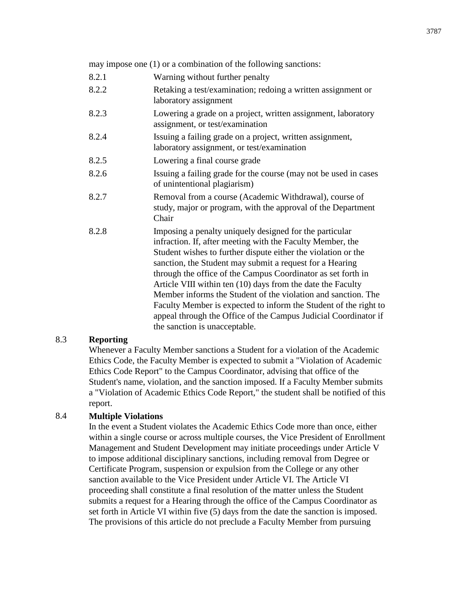may impose one (1) or a combination of the following sanctions:

- 8.2.1 Warning without further penalty
- 8.2.2 Retaking a test/examination; redoing a written assignment or laboratory assignment
- 8.2.3 Lowering a grade on a project, written assignment, laboratory assignment, or test/examination
- 8.2.4 Issuing a failing grade on a project, written assignment, laboratory assignment, or test/examination
- 8.2.5 Lowering a final course grade
- 8.2.6 Issuing a failing grade for the course (may not be used in cases of unintentional plagiarism)
- 8.2.7 Removal from a course (Academic Withdrawal), course of study, major or program, with the approval of the Department Chair
- 8.2.8 Imposing a penalty uniquely designed for the particular infraction. If, after meeting with the Faculty Member, the Student wishes to further dispute either the violation or the sanction, the Student may submit a request for a Hearing through the office of the Campus Coordinator as set forth in Article VIII within ten (10) days from the date the Faculty Member informs the Student of the violation and sanction. The Faculty Member is expected to inform the Student of the right to appeal through the Office of the Campus Judicial Coordinator if the sanction is unacceptable.

# 8.3 **Reporting**

Whenever a Faculty Member sanctions a Student for a violation of the Academic Ethics Code, the Faculty Member is expected to submit a "Violation of Academic Ethics Code Report" to the Campus Coordinator, advising that office of the Student's name, violation, and the sanction imposed. If a Faculty Member submits a "Violation of Academic Ethics Code Report," the student shall be notified of this report.

# 8.4 **Multiple Violations**

In the event a Student violates the Academic Ethics Code more than once, either within a single course or across multiple courses, the Vice President of Enrollment Management and Student Development may initiate proceedings under Article V to impose additional disciplinary sanctions, including removal from Degree or Certificate Program, suspension or expulsion from the College or any other sanction available to the Vice President under Article VI. The Article VI proceeding shall constitute a final resolution of the matter unless the Student submits a request for a Hearing through the office of the Campus Coordinator as set forth in Article VI within five (5) days from the date the sanction is imposed. The provisions of this article do not preclude a Faculty Member from pursuing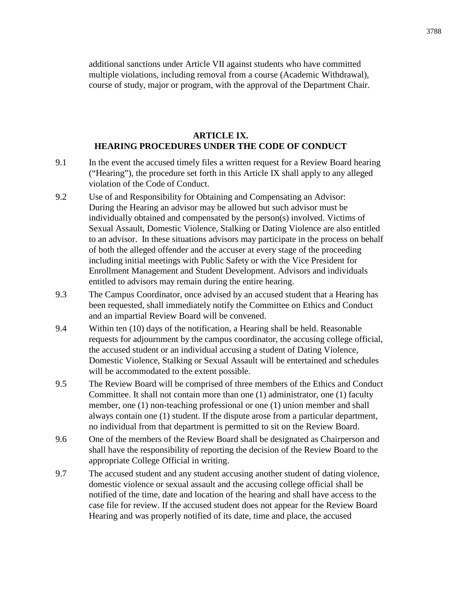additional sanctions under Article VII against students who have committed multiple violations, including removal from a course (Academic Withdrawal), course of study, major or program, with the approval of the Department Chair.

# **ARTICLE IX. HEARING PROCEDURES UNDER THE CODE OF CONDUCT**

- 9.1 In the event the accused timely files a written request for a Review Board hearing ("Hearing"), the procedure set forth in this Article IX shall apply to any alleged violation of the Code of Conduct.
- 9.2 Use of and Responsibility for Obtaining and Compensating an Advisor: During the Hearing an advisor may be allowed but such advisor must be individually obtained and compensated by the person(s) involved. Victims of Sexual Assault, Domestic Violence, Stalking or Dating Violence are also entitled to an advisor. In these situations advisors may participate in the process on behalf of both the alleged offender and the accuser at every stage of the proceeding including initial meetings with Public Safety or with the Vice President for Enrollment Management and Student Development. Advisors and individuals entitled to advisors may remain during the entire hearing.
- 9.3 The Campus Coordinator, once advised by an accused student that a Hearing has been requested, shall immediately notify the Committee on Ethics and Conduct and an impartial Review Board will be convened.
- 9.4 Within ten (10) days of the notification, a Hearing shall be held. Reasonable requests for adjournment by the campus coordinator, the accusing college official, the accused student or an individual accusing a student of Dating Violence, Domestic Violence, Stalking or Sexual Assault will be entertained and schedules will be accommodated to the extent possible.
- 9.5 The Review Board will be comprised of three members of the Ethics and Conduct Committee. It shall not contain more than one (1) administrator, one (1) faculty member, one (1) non-teaching professional or one (1) union member and shall always contain one (1) student. If the dispute arose from a particular department, no individual from that department is permitted to sit on the Review Board.
- 9.6 One of the members of the Review Board shall be designated as Chairperson and shall have the responsibility of reporting the decision of the Review Board to the appropriate College Official in writing.
- 9.7 The accused student and any student accusing another student of dating violence, domestic violence or sexual assault and the accusing college official shall be notified of the time, date and location of the hearing and shall have access to the case file for review. If the accused student does not appear for the Review Board Hearing and was properly notified of its date, time and place, the accused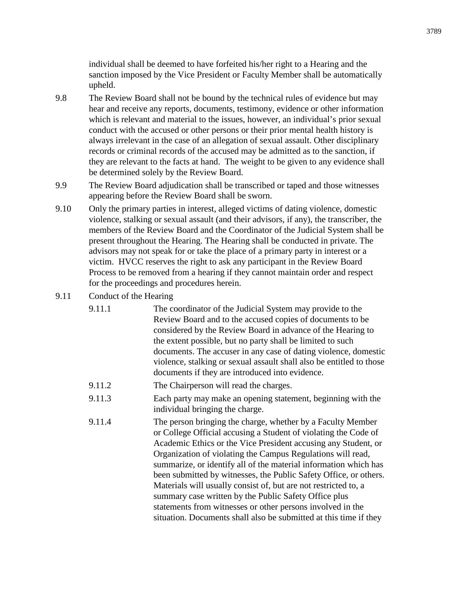individual shall be deemed to have forfeited his/her right to a Hearing and the sanction imposed by the Vice President or Faculty Member shall be automatically upheld.

- 9.8 The Review Board shall not be bound by the technical rules of evidence but may hear and receive any reports, documents, testimony, evidence or other information which is relevant and material to the issues, however, an individual's prior sexual conduct with the accused or other persons or their prior mental health history is always irrelevant in the case of an allegation of sexual assault. Other disciplinary records or criminal records of the accused may be admitted as to the sanction, if they are relevant to the facts at hand. The weight to be given to any evidence shall be determined solely by the Review Board.
- 9.9 The Review Board adjudication shall be transcribed or taped and those witnesses appearing before the Review Board shall be sworn.
- 9.10 Only the primary parties in interest, alleged victims of dating violence, domestic violence, stalking or sexual assault (and their advisors, if any), the transcriber, the members of the Review Board and the Coordinator of the Judicial System shall be present throughout the Hearing. The Hearing shall be conducted in private. The advisors may not speak for or take the place of a primary party in interest or a victim. HVCC reserves the right to ask any participant in the Review Board Process to be removed from a hearing if they cannot maintain order and respect for the proceedings and procedures herein.

# 9.11 Conduct of the Hearing

| 9.11.1 | The coordinator of the Judicial System may provide to the<br>Review Board and to the accused copies of documents to be<br>considered by the Review Board in advance of the Hearing to<br>the extent possible, but no party shall be limited to such<br>documents. The accuser in any case of dating violence, domestic<br>violence, stalking or sexual assault shall also be entitled to those<br>documents if they are introduced into evidence.                                                                                                                                                                                                                       |
|--------|-------------------------------------------------------------------------------------------------------------------------------------------------------------------------------------------------------------------------------------------------------------------------------------------------------------------------------------------------------------------------------------------------------------------------------------------------------------------------------------------------------------------------------------------------------------------------------------------------------------------------------------------------------------------------|
| 9.11.2 | The Chairperson will read the charges.                                                                                                                                                                                                                                                                                                                                                                                                                                                                                                                                                                                                                                  |
| 9.11.3 | Each party may make an opening statement, beginning with the<br>individual bringing the charge.                                                                                                                                                                                                                                                                                                                                                                                                                                                                                                                                                                         |
| 9.11.4 | The person bringing the charge, whether by a Faculty Member<br>or College Official accusing a Student of violating the Code of<br>Academic Ethics or the Vice President accusing any Student, or<br>Organization of violating the Campus Regulations will read,<br>summarize, or identify all of the material information which has<br>been submitted by witnesses, the Public Safety Office, or others.<br>Materials will usually consist of, but are not restricted to, a<br>summary case written by the Public Safety Office plus<br>statements from witnesses or other persons involved in the<br>situation. Documents shall also be submitted at this time if they |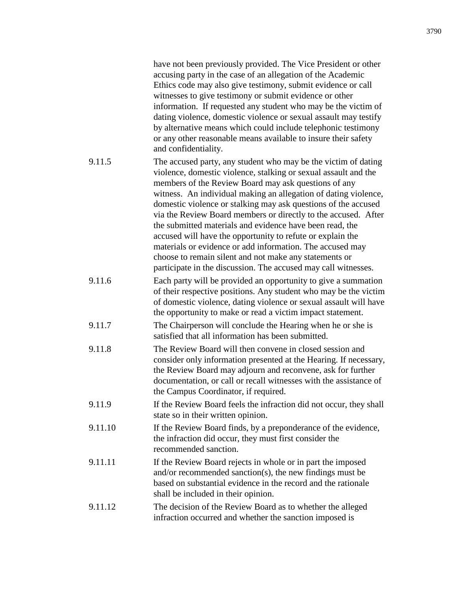|         | have not been previously provided. The Vice President or other<br>accusing party in the case of an allegation of the Academic<br>Ethics code may also give testimony, submit evidence or call<br>witnesses to give testimony or submit evidence or other<br>information. If requested any student who may be the victim of<br>dating violence, domestic violence or sexual assault may testify<br>by alternative means which could include telephonic testimony<br>or any other reasonable means available to insure their safety<br>and confidentiality.                                                                                                                                                           |
|---------|---------------------------------------------------------------------------------------------------------------------------------------------------------------------------------------------------------------------------------------------------------------------------------------------------------------------------------------------------------------------------------------------------------------------------------------------------------------------------------------------------------------------------------------------------------------------------------------------------------------------------------------------------------------------------------------------------------------------|
| 9.11.5  | The accused party, any student who may be the victim of dating<br>violence, domestic violence, stalking or sexual assault and the<br>members of the Review Board may ask questions of any<br>witness. An individual making an allegation of dating violence,<br>domestic violence or stalking may ask questions of the accused<br>via the Review Board members or directly to the accused. After<br>the submitted materials and evidence have been read, the<br>accused will have the opportunity to refute or explain the<br>materials or evidence or add information. The accused may<br>choose to remain silent and not make any statements or<br>participate in the discussion. The accused may call witnesses. |
| 9.11.6  | Each party will be provided an opportunity to give a summation<br>of their respective positions. Any student who may be the victim<br>of domestic violence, dating violence or sexual assault will have<br>the opportunity to make or read a victim impact statement.                                                                                                                                                                                                                                                                                                                                                                                                                                               |
| 9.11.7  | The Chairperson will conclude the Hearing when he or she is<br>satisfied that all information has been submitted.                                                                                                                                                                                                                                                                                                                                                                                                                                                                                                                                                                                                   |
| 9.11.8  | The Review Board will then convene in closed session and<br>consider only information presented at the Hearing. If necessary,<br>the Review Board may adjourn and reconvene, ask for further<br>documentation, or call or recall witnesses with the assistance of<br>the Campus Coordinator, if required.                                                                                                                                                                                                                                                                                                                                                                                                           |
| 9.11.9  | If the Review Board feels the infraction did not occur, they shall<br>state so in their written opinion.                                                                                                                                                                                                                                                                                                                                                                                                                                                                                                                                                                                                            |
| 9.11.10 | If the Review Board finds, by a preponderance of the evidence,<br>the infraction did occur, they must first consider the<br>recommended sanction.                                                                                                                                                                                                                                                                                                                                                                                                                                                                                                                                                                   |
| 9.11.11 | If the Review Board rejects in whole or in part the imposed<br>and/or recommended sanction(s), the new findings must be<br>based on substantial evidence in the record and the rationale<br>shall be included in their opinion.                                                                                                                                                                                                                                                                                                                                                                                                                                                                                     |
| 9.11.12 | The decision of the Review Board as to whether the alleged<br>infraction occurred and whether the sanction imposed is                                                                                                                                                                                                                                                                                                                                                                                                                                                                                                                                                                                               |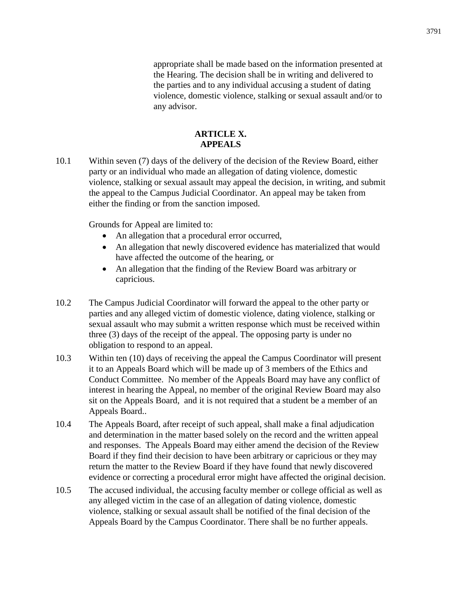appropriate shall be made based on the information presented at the Hearing. The decision shall be in writing and delivered to the parties and to any individual accusing a student of dating violence, domestic violence, stalking or sexual assault and/or to any advisor.

# **ARTICLE X. APPEALS**

10.1 Within seven (7) days of the delivery of the decision of the Review Board, either party or an individual who made an allegation of dating violence, domestic violence, stalking or sexual assault may appeal the decision, in writing, and submit the appeal to the Campus Judicial Coordinator. An appeal may be taken from either the finding or from the sanction imposed.

Grounds for Appeal are limited to:

- An allegation that a procedural error occurred,
- An allegation that newly discovered evidence has materialized that would have affected the outcome of the hearing, or
- An allegation that the finding of the Review Board was arbitrary or capricious.
- 10.2 The Campus Judicial Coordinator will forward the appeal to the other party or parties and any alleged victim of domestic violence, dating violence, stalking or sexual assault who may submit a written response which must be received within three (3) days of the receipt of the appeal. The opposing party is under no obligation to respond to an appeal.
- 10.3 Within ten (10) days of receiving the appeal the Campus Coordinator will present it to an Appeals Board which will be made up of 3 members of the Ethics and Conduct Committee. No member of the Appeals Board may have any conflict of interest in hearing the Appeal, no member of the original Review Board may also sit on the Appeals Board, and it is not required that a student be a member of an Appeals Board..
- 10.4 The Appeals Board, after receipt of such appeal, shall make a final adjudication and determination in the matter based solely on the record and the written appeal and responses. The Appeals Board may either amend the decision of the Review Board if they find their decision to have been arbitrary or capricious or they may return the matter to the Review Board if they have found that newly discovered evidence or correcting a procedural error might have affected the original decision.
- 10.5 The accused individual, the accusing faculty member or college official as well as any alleged victim in the case of an allegation of dating violence, domestic violence, stalking or sexual assault shall be notified of the final decision of the Appeals Board by the Campus Coordinator. There shall be no further appeals.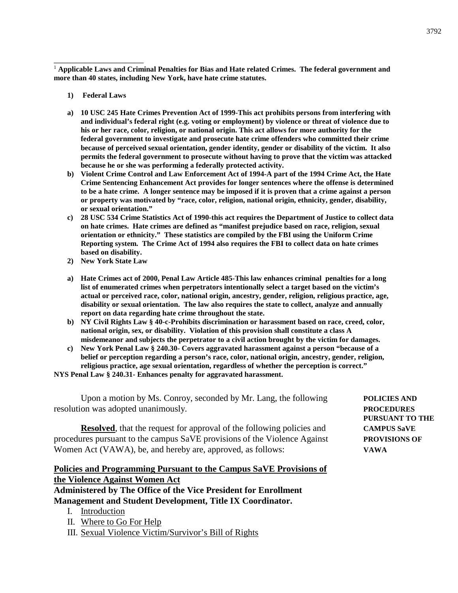<sup>1</sup> **Applicable Laws and Criminal Penalties for Bias and Hate related Crimes. The federal government and more than 40 states, including New York, have hate crime statutes.**

**1) Federal Laws**

\_\_\_\_\_\_\_\_\_\_\_\_\_\_\_\_\_\_\_\_

- **a) 10 USC 245 Hate Crimes Prevention Act of 1999-This act prohibits persons from interfering with and individual's federal right (e.g. voting or employment) by violence or threat of violence due to his or her race, color, religion, or national origin. This act allows for more authority for the federal government to investigate and prosecute hate crime offenders who committed their crime because of perceived sexual orientation, gender identity, gender or disability of the victim. It also permits the federal government to prosecute without having to prove that the victim was attacked because he or she was performing a federally protected activity.**
- **b) Violent Crime Control and Law Enforcement Act of 1994-A part of the 1994 Crime Act, the Hate Crime Sentencing Enhancement Act provides for longer sentences where the offense is determined to be a hate crime. A longer sentence may be imposed if it is proven that a crime against a person or property was motivated by "race, color, religion, national origin, ethnicity, gender, disability, or sexual orientation."**
- **c) 28 USC 534 Crime Statistics Act of 1990-this act requires the Department of Justice to collect data on hate crimes. Hate crimes are defined as "manifest prejudice based on race, religion, sexual orientation or ethnicity." These statistics are compiled by the FBI using the Uniform Crime Reporting system. The Crime Act of 1994 also requires the FBI to collect data on hate crimes based on disability.**
- **2) New York State Law**
- **a) Hate Crimes act of 2000, Penal Law Article 485-This law enhances criminal penalties for a long list of enumerated crimes when perpetrators intentionally select a target based on the victim's actual or perceived race, color, national origin, ancestry, gender, religion, religious practice, age, disability or sexual orientation. The law also requires the state to collect, analyze and annually report on data regarding hate crime throughout the state.**
- **b) NY Civil Rights Law § 40-c-Prohibits discrimination or harassment based on race, creed, color, national origin, sex, or disability. Violation of this provision shall constitute a class A misdemeanor and subjects the perpetrator to a civil action brought by the victim for damages.**
- **c) New York Penal Law § 240.30- Covers aggravated harassment against a person "because of a belief or perception regarding a person's race, color, national origin, ancestry, gender, religion, religious practice, age sexual orientation, regardless of whether the perception is correct."**

**NYS Penal Law § 240.31- Enhances penalty for aggravated harassment.**

Upon a motion by Ms. Conroy, seconded by Mr. Lang, the following **POLICIES AND** resolution was adopted unanimously. **PROCEDURES**

**Resolved**, that the request for approval of the following policies and **CAMPUS SaVE** procedures pursuant to the campus SaVE provisions of the Violence Against **PROVISIONS OF** Women Act (VAWA), be, and hereby are, approved, as follows: **VAWA**

# **Policies and Programming Pursuant to the Campus SaVE Provisions of the Violence Against Women Act**

**Administered by The Office of the Vice President for Enrollment Management and Student Development, Title IX Coordinator.**

- I. Introduction
- II. Where to Go For Help
- III. Sexual Violence Victim/Survivor's Bill of Rights

**PURSUANT TO THE**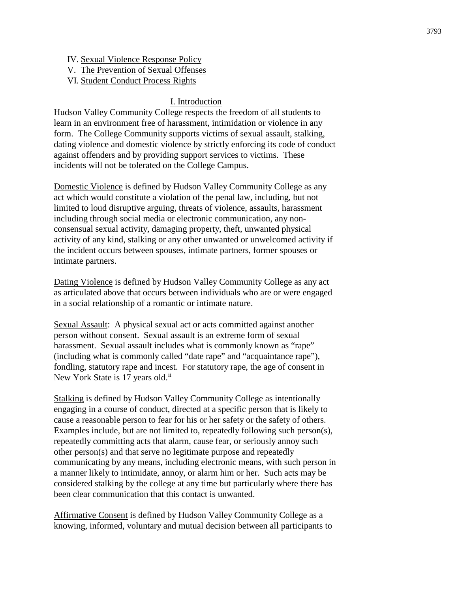- IV. Sexual Violence Response Policy
- V. The Prevention of Sexual Offenses
- VI. Student Conduct Process Rights

# I. Introduction

Hudson Valley Community College respects the freedom of all students to learn in an environment free of harassment, intimidation or violence in any form. The College Community supports victims of sexual assault, stalking, dating violence and domestic violence by strictly enforcing its code of conduct against offenders and by providing support services to victims. These incidents will not be tolerated on the College Campus.

Domestic Violence is defined by Hudson Valley Community College as any act which would constitute a violation of the penal law, including, but not limited to loud disruptive arguing, threats of violence, assaults, harassment including through social media or electronic communication, any nonconsensual sexual activity, damaging property, theft, unwanted physical activity of any kind, stalking or any other unwanted or unwelcomed activity if the incident occurs between spouses, intimate partners, former spouses or intimate partners.

Dating Violence is defined by Hudson Valley Community College as any act as articulated above that occurs between individuals who are or were engaged in a social relationship of a romantic or intimate nature.

Sexual Assault: A physical sexual act or acts committed against another person without consent. Sexual assault is an extreme form of sexual harassment. Sexual assault includes what is commonly known as "rape" (including what is commonly called "date rape" and "acquaintance rape"), fondling, statutory rape and incest. For statutory rape, the age of consent in New York State is 17 years old.<sup>ii</sup>

Stalking is defined by Hudson Valley Community College as intentionally engaging in a course of conduct, directed at a specific person that is likely to cause a reasonable person to fear for his or her safety or the safety of others. Examples include, but are not limited to, repeatedly following such person(s), repeatedly committing acts that alarm, cause fear, or seriously annoy such other person(s) and that serve no legitimate purpose and repeatedly communicating by any means, including electronic means, with such person in a manner likely to intimidate, annoy, or alarm him or her. Such acts may be considered stalking by the college at any time but particularly where there has been clear communication that this contact is unwanted.

Affirmative Consent is defined by Hudson Valley Community College as a knowing, informed, voluntary and mutual decision between all participants to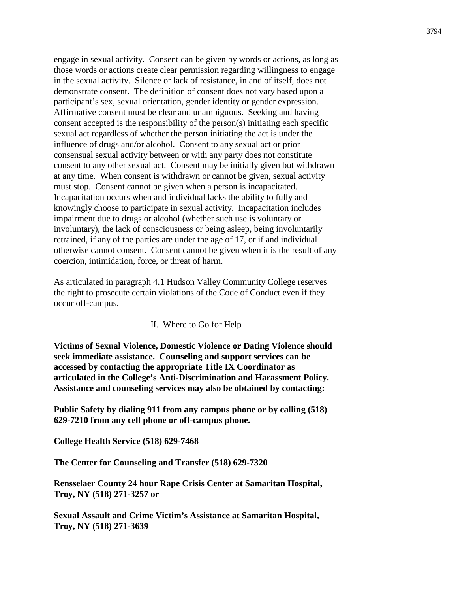engage in sexual activity. Consent can be given by words or actions, as long as those words or actions create clear permission regarding willingness to engage in the sexual activity. Silence or lack of resistance, in and of itself, does not demonstrate consent. The definition of consent does not vary based upon a participant's sex, sexual orientation, gender identity or gender expression. Affirmative consent must be clear and unambiguous. Seeking and having consent accepted is the responsibility of the person(s) initiating each specific sexual act regardless of whether the person initiating the act is under the influence of drugs and/or alcohol. Consent to any sexual act or prior consensual sexual activity between or with any party does not constitute consent to any other sexual act. Consent may be initially given but withdrawn at any time. When consent is withdrawn or cannot be given, sexual activity must stop. Consent cannot be given when a person is incapacitated. Incapacitation occurs when and individual lacks the ability to fully and knowingly choose to participate in sexual activity. Incapacitation includes impairment due to drugs or alcohol (whether such use is voluntary or involuntary), the lack of consciousness or being asleep, being involuntarily retrained, if any of the parties are under the age of 17, or if and individual otherwise cannot consent. Consent cannot be given when it is the result of any coercion, intimidation, force, or threat of harm.

As articulated in paragraph 4.1 Hudson Valley Community College reserves the right to prosecute certain violations of the Code of Conduct even if they occur off-campus.

#### II. Where to Go for Help

**Victims of Sexual Violence, Domestic Violence or Dating Violence should seek immediate assistance. Counseling and support services can be accessed by contacting the appropriate Title IX Coordinator as articulated in the College's Anti-Discrimination and Harassment Policy. Assistance and counseling services may also be obtained by contacting:**

**Public Safety by dialing 911 from any campus phone or by calling (518) 629-7210 from any cell phone or off-campus phone.**

**College Health Service (518) 629-7468**

**The Center for Counseling and Transfer (518) 629-7320**

**Rensselaer County 24 hour Rape Crisis Center at Samaritan Hospital, Troy, NY (518) 271-3257 or**

**Sexual Assault and Crime Victim's Assistance at Samaritan Hospital, Troy, NY (518) 271-3639**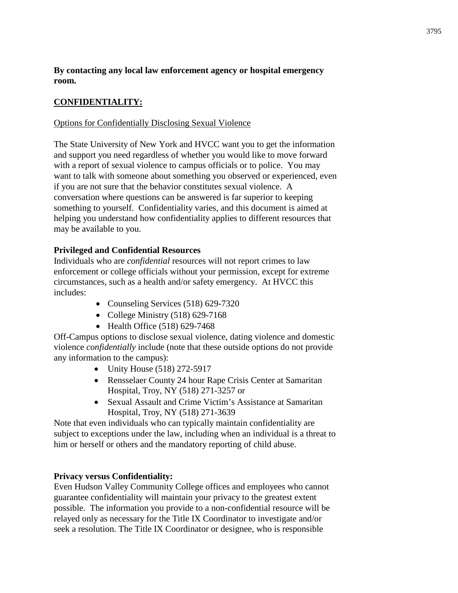**By contacting any local law enforcement agency or hospital emergency room.**

# **CONFIDENTIALITY:**

# Options for Confidentially Disclosing Sexual Violence

The State University of New York and HVCC want you to get the information and support you need regardless of whether you would like to move forward with a report of sexual violence to campus officials or to police. You may want to talk with someone about something you observed or experienced, even if you are not sure that the behavior constitutes sexual violence. A conversation where questions can be answered is far superior to keeping something to yourself. Confidentiality varies, and this document is aimed at helping you understand how confidentiality applies to different resources that may be available to you.

# **Privileged and Confidential Resources**

Individuals who are *confidential* resources will not report crimes to law enforcement or college officials without your permission, except for extreme circumstances, such as a health and/or safety emergency. At HVCC this includes:

- Counseling Services (518) 629-7320
- College Ministry (518) 629-7168
- Health Office (518) 629-7468

Off-Campus options to disclose sexual violence, dating violence and domestic violence *confidentially* include (note that these outside options do not provide any information to the campus):

- Unity House (518) 272-5917
- Rensselaer County 24 hour Rape Crisis Center at Samaritan Hospital, Troy, NY (518) 271-3257 or
- Sexual Assault and Crime Victim's Assistance at Samaritan Hospital, Troy, NY (518) 271-3639

Note that even individuals who can typically maintain confidentiality are subject to exceptions under the law, including when an individual is a threat to him or herself or others and the mandatory reporting of child abuse.

# **Privacy versus Confidentiality:**

Even Hudson Valley Community College offices and employees who cannot guarantee confidentiality will maintain your privacy to the greatest extent possible. The information you provide to a non-confidential resource will be relayed only as necessary for the Title IX Coordinator to investigate and/or seek a resolution. The Title IX Coordinator or designee, who is responsible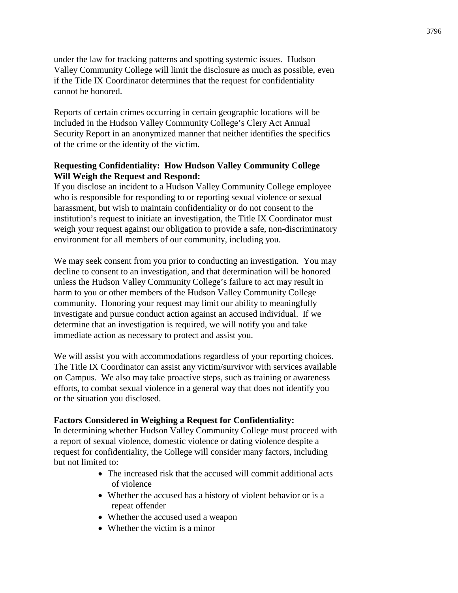under the law for tracking patterns and spotting systemic issues. Hudson Valley Community College will limit the disclosure as much as possible, even if the Title IX Coordinator determines that the request for confidentiality cannot be honored.

Reports of certain crimes occurring in certain geographic locations will be included in the Hudson Valley Community College's Clery Act Annual Security Report in an anonymized manner that neither identifies the specifics of the crime or the identity of the victim.

# **Requesting Confidentiality: How Hudson Valley Community College Will Weigh the Request and Respond:**

If you disclose an incident to a Hudson Valley Community College employee who is responsible for responding to or reporting sexual violence or sexual harassment, but wish to maintain confidentiality or do not consent to the institution's request to initiate an investigation, the Title IX Coordinator must weigh your request against our obligation to provide a safe, non-discriminatory environment for all members of our community, including you.

We may seek consent from you prior to conducting an investigation. You may decline to consent to an investigation, and that determination will be honored unless the Hudson Valley Community College's failure to act may result in harm to you or other members of the Hudson Valley Community College community. Honoring your request may limit our ability to meaningfully investigate and pursue conduct action against an accused individual. If we determine that an investigation is required, we will notify you and take immediate action as necessary to protect and assist you.

We will assist you with accommodations regardless of your reporting choices. The Title IX Coordinator can assist any victim/survivor with services available on Campus. We also may take proactive steps, such as training or awareness efforts, to combat sexual violence in a general way that does not identify you or the situation you disclosed.

# **Factors Considered in Weighing a Request for Confidentiality:**

In determining whether Hudson Valley Community College must proceed with a report of sexual violence, domestic violence or dating violence despite a request for confidentiality, the College will consider many factors, including but not limited to:

- The increased risk that the accused will commit additional acts of violence
- Whether the accused has a history of violent behavior or is a repeat offender
- Whether the accused used a weapon
- Whether the victim is a minor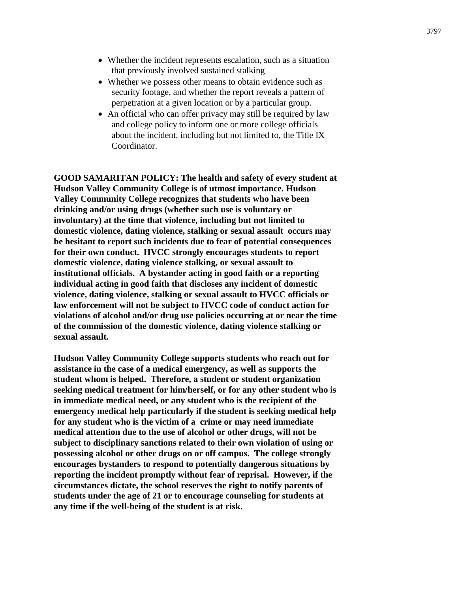- Whether the incident represents escalation, such as a situation that previously involved sustained stalking
- Whether we possess other means to obtain evidence such as security footage, and whether the report reveals a pattern of perpetration at a given location or by a particular group.
- An official who can offer privacy may still be required by law and college policy to inform one or more college officials about the incident, including but not limited to, the Title IX Coordinator.

**GOOD SAMARITAN POLICY: The health and safety of every student at Hudson Valley Community College is of utmost importance. Hudson Valley Community College recognizes that students who have been drinking and/or using drugs (whether such use is voluntary or involuntary) at the time that violence, including but not limited to domestic violence, dating violence, stalking or sexual assault occurs may be hesitant to report such incidents due to fear of potential consequences for their own conduct. HVCC strongly encourages students to report domestic violence, dating violence stalking, or sexual assault to institutional officials. A bystander acting in good faith or a reporting individual acting in good faith that discloses any incident of domestic violence, dating violence, stalking or sexual assault to HVCC officials or law enforcement will not be subject to HVCC code of conduct action for violations of alcohol and/or drug use policies occurring at or near the time of the commission of the domestic violence, dating violence stalking or sexual assault.**

**Hudson Valley Community College supports students who reach out for assistance in the case of a medical emergency, as well as supports the student whom is helped. Therefore, a student or student organization seeking medical treatment for him/herself, or for any other student who is in immediate medical need, or any student who is the recipient of the emergency medical help particularly if the student is seeking medical help for any student who is the victim of a crime or may need immediate medical attention due to the use of alcohol or other drugs, will not be subject to disciplinary sanctions related to their own violation of using or possessing alcohol or other drugs on or off campus. The college strongly encourages bystanders to respond to potentially dangerous situations by reporting the incident promptly without fear of reprisal. However, if the circumstances dictate, the school reserves the right to notify parents of students under the age of 21 or to encourage counseling for students at any time if the well-being of the student is at risk.**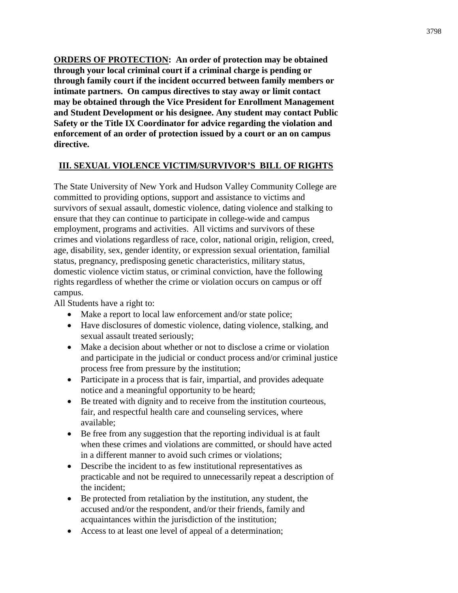**ORDERS OF PROTECTION: An order of protection may be obtained through your local criminal court if a criminal charge is pending or through family court if the incident occurred between family members or intimate partners. On campus directives to stay away or limit contact may be obtained through the Vice President for Enrollment Management and Student Development or his designee. Any student may contact Public Safety or the Title IX Coordinator for advice regarding the violation and enforcement of an order of protection issued by a court or an on campus directive.**

# **III. SEXUAL VIOLENCE VICTIM/SURVIVOR'S BILL OF RIGHTS**

The State University of New York and Hudson Valley Community College are committed to providing options, support and assistance to victims and survivors of sexual assault, domestic violence, dating violence and stalking to ensure that they can continue to participate in college-wide and campus employment, programs and activities. All victims and survivors of these crimes and violations regardless of race, color, national origin, religion, creed, age, disability, sex, gender identity, or expression sexual orientation, familial status, pregnancy, predisposing genetic characteristics, military status, domestic violence victim status, or criminal conviction, have the following rights regardless of whether the crime or violation occurs on campus or off campus.

All Students have a right to:

- Make a report to local law enforcement and/or state police;
- Have disclosures of domestic violence, dating violence, stalking, and sexual assault treated seriously;
- Make a decision about whether or not to disclose a crime or violation and participate in the judicial or conduct process and/or criminal justice process free from pressure by the institution;
- Participate in a process that is fair, impartial, and provides adequate notice and a meaningful opportunity to be heard;
- Be treated with dignity and to receive from the institution courteous, fair, and respectful health care and counseling services, where available;
- Be free from any suggestion that the reporting individual is at fault when these crimes and violations are committed, or should have acted in a different manner to avoid such crimes or violations;
- Describe the incident to as few institutional representatives as practicable and not be required to unnecessarily repeat a description of the incident;
- Be protected from retaliation by the institution, any student, the accused and/or the respondent, and/or their friends, family and acquaintances within the jurisdiction of the institution;
- Access to at least one level of appeal of a determination;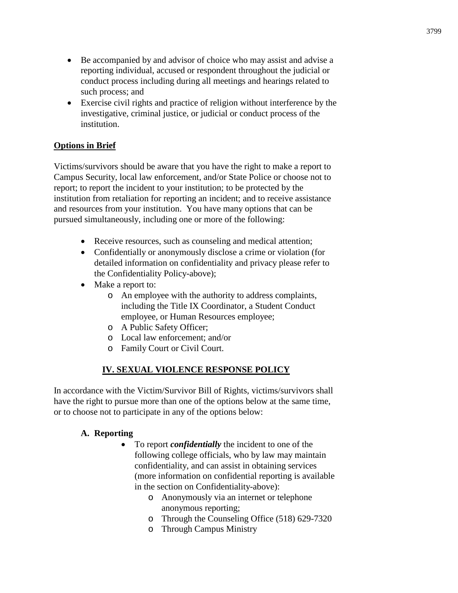- Be accompanied by and advisor of choice who may assist and advise a reporting individual, accused or respondent throughout the judicial or conduct process including during all meetings and hearings related to such process; and
- Exercise civil rights and practice of religion without interference by the investigative, criminal justice, or judicial or conduct process of the institution.

# **Options in Brief**

Victims/survivors should be aware that you have the right to make a report to Campus Security, local law enforcement, and/or State Police or choose not to report; to report the incident to your institution; to be protected by the institution from retaliation for reporting an incident; and to receive assistance and resources from your institution. You have many options that can be pursued simultaneously, including one or more of the following:

- Receive resources, such as counseling and medical attention;
- Confidentially or anonymously disclose a crime or violation (for detailed information on confidentiality and privacy please refer to the Confidentiality Policy-above);
- Make a report to:
	- o An employee with the authority to address complaints, including the Title IX Coordinator, a Student Conduct employee, or Human Resources employee;
	- o A Public Safety Officer;
	- o Local law enforcement; and/or
	- o Family Court or Civil Court.

# **IV. SEXUAL VIOLENCE RESPONSE POLICY**

In accordance with the Victim/Survivor Bill of Rights, victims/survivors shall have the right to pursue more than one of the options below at the same time, or to choose not to participate in any of the options below:

#### **A. Reporting**

- To report *confidentially* the incident to one of the following college officials, who by law may maintain confidentiality, and can assist in obtaining services (more information on confidential reporting is available in the section on Confidentiality-above):
	- o Anonymously via an internet or telephone anonymous reporting;
	- o Through the Counseling Office (518) 629-7320
	- o Through Campus Ministry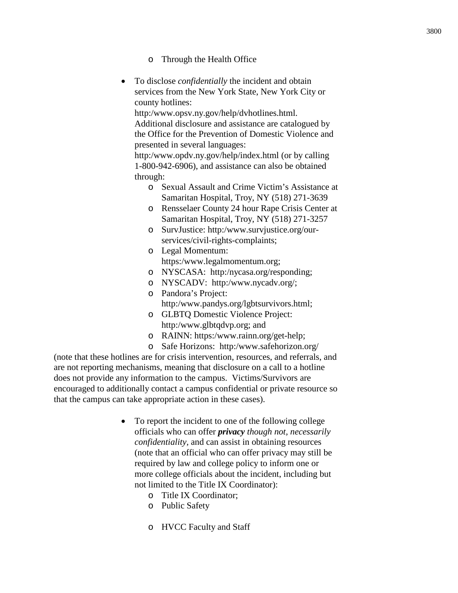- o Through the Health Office
- To disclose *confidentially* the incident and obtain services from the New York State, New York City or county hotlines:

http:/www.opsv.ny.gov/help/dvhotlines.html. Additional disclosure and assistance are catalogued by the Office for the Prevention of Domestic Violence and presented in several languages:

http:/www.opdv.ny.gov/help/index.html (or by calling 1-800-942-6906), and assistance can also be obtained through:

- o Sexual Assault and Crime Victim's Assistance at Samaritan Hospital, Troy, NY (518) 271-3639
- o Rensselaer County 24 hour Rape Crisis Center at Samaritan Hospital, Troy, NY (518) 271-3257
- o SurvJustice: http:/www.survjustice.org/ourservices/civil-rights-complaints;
- o Legal Momentum: https:/www.legalmomentum.org;
- o NYSCASA: http:/nycasa.org/responding;
- o NYSCADV: http:/www.nycadv.org/; o Pandora's Project:

http:/www.pandys.org/lgbtsurvivors.html;

- o GLBTQ Domestic Violence Project: http:/www.glbtqdvp.org; and
- o RAINN: https:/www.rainn.org/get-help;
- o Safe Horizons: http:/www.safehorizon.org/

(note that these hotlines are for crisis intervention, resources, and referrals, and are not reporting mechanisms, meaning that disclosure on a call to a hotline does not provide any information to the campus. Victims/Survivors are encouraged to additionally contact a campus confidential or private resource so that the campus can take appropriate action in these cases).

- To report the incident to one of the following college officials who can offer *privacy though not, necessarily confidentiality,* and can assist in obtaining resources (note that an official who can offer privacy may still be required by law and college policy to inform one or more college officials about the incident, including but not limited to the Title IX Coordinator):
	- o Title IX Coordinator;
	- o Public Safety
	- o HVCC Faculty and Staff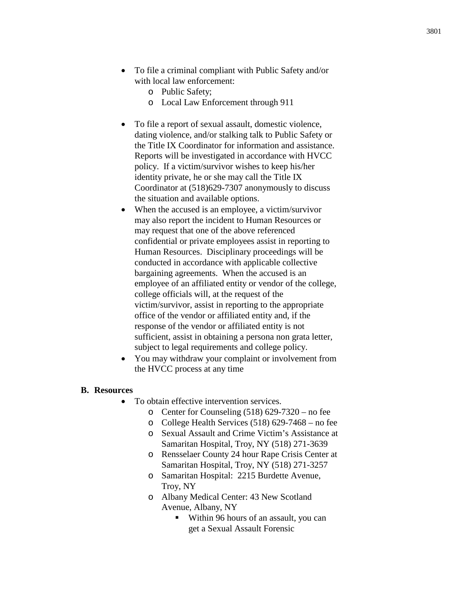- To file a criminal compliant with Public Safety and/or with local law enforcement:
	- o Public Safety;
	- o Local Law Enforcement through 911
- To file a report of sexual assault, domestic violence, dating violence, and/or stalking talk to Public Safety or the Title IX Coordinator for information and assistance. Reports will be investigated in accordance with HVCC policy. If a victim/survivor wishes to keep his/her identity private, he or she may call the Title IX Coordinator at (518)629-7307 anonymously to discuss the situation and available options.
- When the accused is an employee, a victim/survivor may also report the incident to Human Resources or may request that one of the above referenced confidential or private employees assist in reporting to Human Resources. Disciplinary proceedings will be conducted in accordance with applicable collective bargaining agreements. When the accused is an employee of an affiliated entity or vendor of the college, college officials will, at the request of the victim/survivor, assist in reporting to the appropriate office of the vendor or affiliated entity and, if the response of the vendor or affiliated entity is not sufficient, assist in obtaining a persona non grata letter, subject to legal requirements and college policy.
- You may withdraw your complaint or involvement from the HVCC process at any time

#### **B. Resources**

- To obtain effective intervention services.
	- o Center for Counseling (518) 629-7320 no fee
	- o College Health Services (518) 629-7468 no fee
	- o Sexual Assault and Crime Victim's Assistance at Samaritan Hospital, Troy, NY (518) 271-3639
	- o Rensselaer County 24 hour Rape Crisis Center at Samaritan Hospital, Troy, NY (518) 271-3257
	- o Samaritan Hospital: 2215 Burdette Avenue, Troy, NY
	- o Albany Medical Center: 43 New Scotland Avenue, Albany, NY
		- Within 96 hours of an assault, you can get a Sexual Assault Forensic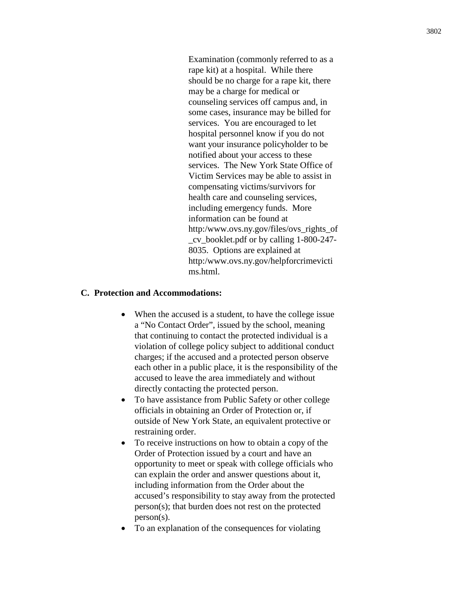Examination (commonly referred to as a rape kit) at a hospital. While there should be no charge for a rape kit, there may be a charge for medical or counseling services off campus and, in some cases, insurance may be billed for services. You are encouraged to let hospital personnel know if you do not want your insurance policyholder to be notified about your access to these services. The New York State Office of Victim Services may be able to assist in compensating victims/survivors for health care and counseling services, including emergency funds. More information can be found at http:/www.ovs.ny.gov/files/ovs\_rights\_of \_cv\_booklet.pdf or by calling 1-800-247- 8035. Options are explained at http:/www.ovs.ny.gov/helpforcrimevicti ms.html.

#### **C. Protection and Accommodations:**

- When the accused is a student, to have the college issue a "No Contact Order", issued by the school, meaning that continuing to contact the protected individual is a violation of college policy subject to additional conduct charges; if the accused and a protected person observe each other in a public place, it is the responsibility of the accused to leave the area immediately and without directly contacting the protected person.
- To have assistance from Public Safety or other college officials in obtaining an Order of Protection or, if outside of New York State, an equivalent protective or restraining order.
- To receive instructions on how to obtain a copy of the Order of Protection issued by a court and have an opportunity to meet or speak with college officials who can explain the order and answer questions about it, including information from the Order about the accused's responsibility to stay away from the protected person(s); that burden does not rest on the protected person(s).
- To an explanation of the consequences for violating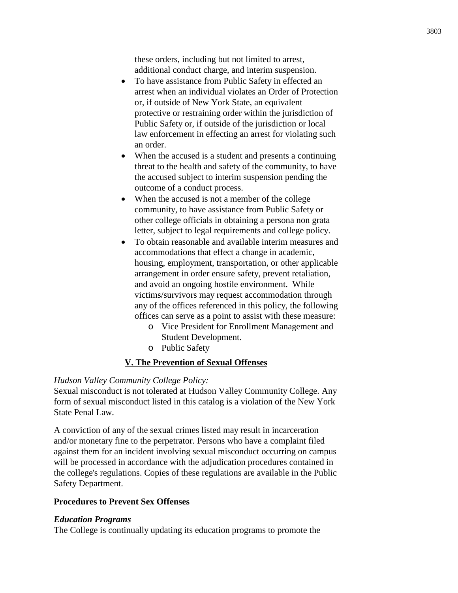these orders, including but not limited to arrest, additional conduct charge, and interim suspension.

- To have assistance from Public Safety in effected an arrest when an individual violates an Order of Protection or, if outside of New York State, an equivalent protective or restraining order within the jurisdiction of Public Safety or, if outside of the jurisdiction or local law enforcement in effecting an arrest for violating such an order.
- When the accused is a student and presents a continuing threat to the health and safety of the community, to have the accused subject to interim suspension pending the outcome of a conduct process.
- When the accused is not a member of the college community, to have assistance from Public Safety or other college officials in obtaining a persona non grata letter, subject to legal requirements and college policy.
- To obtain reasonable and available interim measures and accommodations that effect a change in academic, housing, employment, transportation, or other applicable arrangement in order ensure safety, prevent retaliation, and avoid an ongoing hostile environment. While victims/survivors may request accommodation through any of the offices referenced in this policy, the following offices can serve as a point to assist with these measure:
	- o Vice President for Enrollment Management and Student Development.
	- o Public Safety

# **V. The Prevention of Sexual Offenses**

# *Hudson Valley Community College Policy:*

Sexual misconduct is not tolerated at Hudson Valley Community College. Any form of sexual misconduct listed in this catalog is a violation of the New York State Penal Law.

A conviction of any of the sexual crimes listed may result in incarceration and/or monetary fine to the perpetrator. Persons who have a complaint filed against them for an incident involving sexual misconduct occurring on campus will be processed in accordance with the adjudication procedures contained in the college's regulations. Copies of these regulations are available in the Public Safety Department.

# **Procedures to Prevent Sex Offenses**

# *Education Programs*

The College is continually updating its education programs to promote the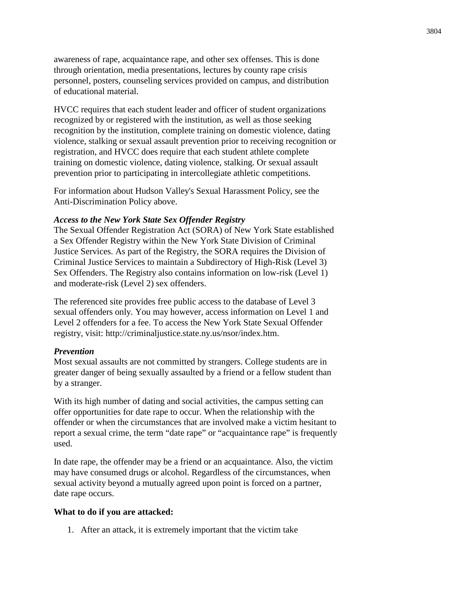awareness of rape, acquaintance rape, and other sex offenses. This is done through orientation, media presentations, lectures by county rape crisis personnel, posters, counseling services provided on campus, and distribution of educational material.

HVCC requires that each student leader and officer of student organizations recognized by or registered with the institution, as well as those seeking recognition by the institution, complete training on domestic violence, dating violence, stalking or sexual assault prevention prior to receiving recognition or registration, and HVCC does require that each student athlete complete training on domestic violence, dating violence, stalking. Or sexual assault prevention prior to participating in intercollegiate athletic competitions.

For information about Hudson Valley's Sexual Harassment Policy, see the Anti-Discrimination Policy above.

#### *Access to the New York State Sex Offender Registry*

The Sexual Offender Registration Act (SORA) of New York State established a Sex Offender Registry within the New York State Division of Criminal Justice Services. As part of the Registry, the SORA requires the Division of Criminal Justice Services to maintain a Subdirectory of High-Risk (Level 3) Sex Offenders. The Registry also contains information on low-risk (Level 1) and moderate-risk (Level 2) sex offenders.

The referenced site provides free public access to the database of Level 3 sexual offenders only. You may however, access information on Level 1 and Level 2 offenders for a fee. To access the New York State Sexual Offender registry, visit: http://criminaljustice.state.ny.us/nsor/index.htm.

#### *Prevention*

Most sexual assaults are not committed by strangers. College students are in greater danger of being sexually assaulted by a friend or a fellow student than by a stranger.

With its high number of dating and social activities, the campus setting can offer opportunities for date rape to occur. When the relationship with the offender or when the circumstances that are involved make a victim hesitant to report a sexual crime, the term "date rape" or "acquaintance rape" is frequently used.

In date rape, the offender may be a friend or an acquaintance. Also, the victim may have consumed drugs or alcohol. Regardless of the circumstances, when sexual activity beyond a mutually agreed upon point is forced on a partner, date rape occurs.

#### **What to do if you are attacked:**

1. After an attack, it is extremely important that the victim take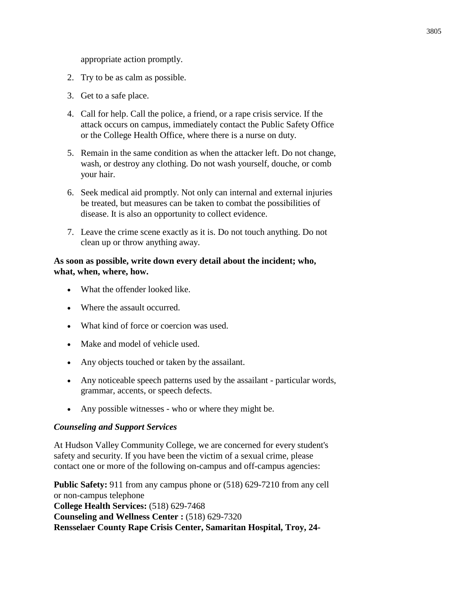appropriate action promptly.

- 2. Try to be as calm as possible.
- 3. Get to a safe place.
- 4. Call for help. Call the police, a friend, or a rape crisis service. If the attack occurs on campus, immediately contact the Public Safety Office or the College Health Office, where there is a nurse on duty.
- 5. Remain in the same condition as when the attacker left. Do not change, wash, or destroy any clothing. Do not wash yourself, douche, or comb your hair.
- 6. Seek medical aid promptly. Not only can internal and external injuries be treated, but measures can be taken to combat the possibilities of disease. It is also an opportunity to collect evidence.
- 7. Leave the crime scene exactly as it is. Do not touch anything. Do not clean up or throw anything away.

# **As soon as possible, write down every detail about the incident; who, what, when, where, how.**

- What the offender looked like.
- Where the assault occurred.
- What kind of force or coercion was used.
- Make and model of vehicle used.
- Any objects touched or taken by the assailant.
- Any noticeable speech patterns used by the assailant particular words, grammar, accents, or speech defects.
- Any possible witnesses who or where they might be.

# *Counseling and Support Services*

At Hudson Valley Community College, we are concerned for every student's safety and security. If you have been the victim of a sexual crime, please contact one or more of the following on-campus and off-campus agencies:

**Public Safety:** 911 from any campus phone or (518) 629-7210 from any cell or non-campus telephone **College Health Services:** (518) 629-7468 **Counseling and Wellness Center :** (518) 629-7320 **Rensselaer County Rape Crisis Center, Samaritan Hospital, Troy, 24-**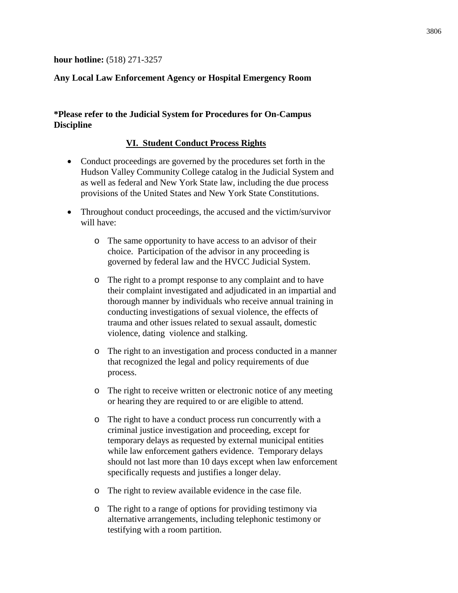# **hour hotline:** (518) 271-3257

# **Any Local Law Enforcement Agency or Hospital Emergency Room**

# **\*Please refer to the Judicial System for Procedures for On-Campus Discipline**

#### **VI. Student Conduct Process Rights**

- Conduct proceedings are governed by the procedures set forth in the Hudson Valley Community College catalog in the Judicial System and as well as federal and New York State law, including the due process provisions of the United States and New York State Constitutions.
- Throughout conduct proceedings, the accused and the victim/survivor will have:
	- o The same opportunity to have access to an advisor of their choice. Participation of the advisor in any proceeding is governed by federal law and the HVCC Judicial System.
	- o The right to a prompt response to any complaint and to have their complaint investigated and adjudicated in an impartial and thorough manner by individuals who receive annual training in conducting investigations of sexual violence, the effects of trauma and other issues related to sexual assault, domestic violence, dating violence and stalking.
	- o The right to an investigation and process conducted in a manner that recognized the legal and policy requirements of due process.
	- o The right to receive written or electronic notice of any meeting or hearing they are required to or are eligible to attend.
	- o The right to have a conduct process run concurrently with a criminal justice investigation and proceeding, except for temporary delays as requested by external municipal entities while law enforcement gathers evidence. Temporary delays should not last more than 10 days except when law enforcement specifically requests and justifies a longer delay.
	- o The right to review available evidence in the case file.
	- o The right to a range of options for providing testimony via alternative arrangements, including telephonic testimony or testifying with a room partition.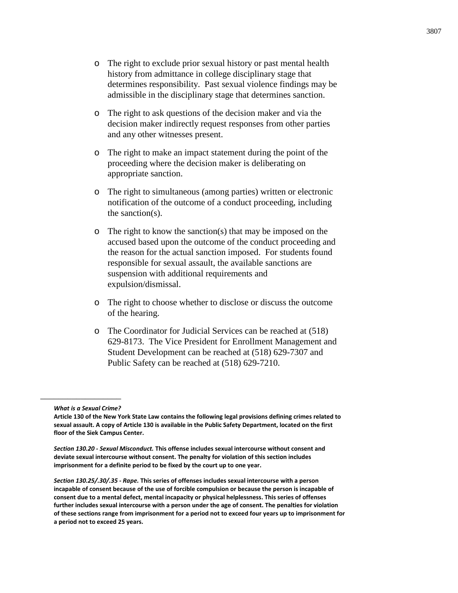- o The right to ask questions of the decision maker and via the decision maker indirectly request responses from other parties and any other witnesses present.
- o The right to make an impact statement during the point of the proceeding where the decision maker is deliberating on appropriate sanction.
- o The right to simultaneous (among parties) written or electronic notification of the outcome of a conduct proceeding, including the sanction(s).
- o The right to know the sanction(s) that may be imposed on the accused based upon the outcome of the conduct proceeding and the reason for the actual sanction imposed. For students found responsible for sexual assault, the available sanctions are suspension with additional requirements and expulsion/dismissal.
- o The right to choose whether to disclose or discuss the outcome of the hearing.
- o The Coordinator for Judicial Services can be reached at (518) 629-8173. The Vice President for Enrollment Management and Student Development can be reached at (518) 629-7307 and Public Safety can be reached at (518) 629-7210.

\_\_\_\_\_\_\_\_\_\_\_\_\_\_\_\_\_\_

*What is a Sexual Crime?*

**Article 130 of the New York State Law contains the following legal provisions defining crimes related to sexual assault. A copy of Article 130 is available in the Public Safety Department, located on the first floor of the Siek Campus Center.**

*Section 130.20 - Sexual Misconduct.* **This offense includes sexual intercourse without consent and deviate sexual intercourse without consent. The penalty for violation of this section includes imprisonment for a definite period to be fixed by the court up to one year.**

*Section 130.25/.30/.35 - Rape.* **This series of offenses includes sexual intercourse with a person incapable of consent because of the use of forcible compulsion or because the person is incapable of consent due to a mental defect, mental incapacity or physical helplessness. This series of offenses further includes sexual intercourse with a person under the age of consent. The penalties for violation of these sections range from imprisonment for a period not to exceed four years up to imprisonment for a period not to exceed 25 years.**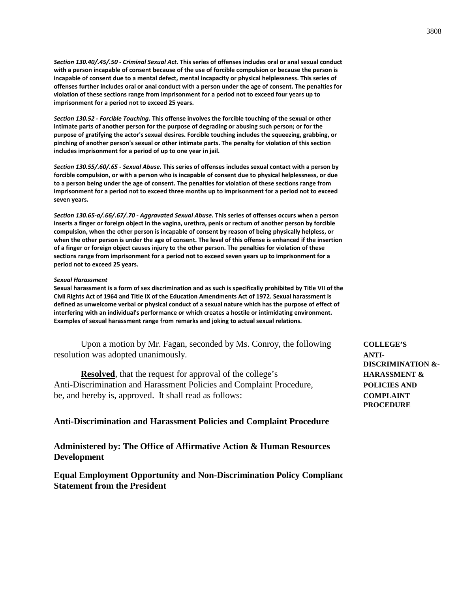*Section 130.40/.45/.50 - Criminal Sexual Act.* **This series of offenses includes oral or anal sexual conduct with a person incapable of consent because of the use of forcible compulsion or because the person is incapable of consent due to a mental defect, mental incapacity or physical helplessness. This series of offenses further includes oral or anal conduct with a person under the age of consent. The penalties for violation of these sections range from imprisonment for a period not to exceed four years up to imprisonment for a period not to exceed 25 years.**

*Section 130.52 - Forcible Touching.* **This offense involves the forcible touching of the sexual or other intimate parts of another person for the purpose of degrading or abusing such person; or for the purpose of gratifying the actor's sexual desires. Forcible touching includes the squeezing, grabbing, or pinching of another person's sexual or other intimate parts. The penalty for violation of this section includes imprisonment for a period of up to one year in jail.**

*Section 130.55/.60/.65 - Sexual Abuse.* **This series of offenses includes sexual contact with a person by forcible compulsion, or with a person who is incapable of consent due to physical helplessness, or due to a person being under the age of consent. The penalties for violation of these sections range from imprisonment for a period not to exceed three months up to imprisonment for a period not to exceed seven years.**

*Section 130.65-a/.66/.67/.70 - Aggravated Sexual Abuse.* **This series of offenses occurs when a person inserts a finger or foreign object in the vagina, urethra, penis or rectum of another person by forcible compulsion, when the other person is incapable of consent by reason of being physically helpless, or when the other person is under the age of consent. The level of this offense is enhanced if the insertion of a finger or foreign object causes injury to the other person. The penalties for violation of these sections range from imprisonment for a period not to exceed seven years up to imprisonment for a period not to exceed 25 years.**

#### *Sexual Harassment*

**Sexual harassment is a form of sex discrimination and as such is specifically prohibited by Title VII of the Civil Rights Act of 1964 and Title IX of the Education Amendments Act of 1972. Sexual harassment is defined as unwelcome verbal or physical conduct of a sexual nature which has the purpose of effect of interfering with an individual's performance or which creates a hostile or intimidating environment. Examples of sexual harassment range from remarks and joking to actual sexual relations.** 

Upon a motion by Mr. Fagan, seconded by Ms. Conroy, the following **COLLEGE'S** resolution was adopted unanimously. **ANTI-**

**Resolved**, that the request for approval of the college's **HARASSMENT &** Anti-Discrimination and Harassment Policies and Complaint Procedure, **POLICIES AND** be, and hereby is, approved. It shall read as follows: **COMPLAINT**

#### **Anti-Discrimination and Harassment Policies and Complaint Procedure**

**Administered by: The Office of Affirmative Action & Human Resources Development**

**Equal Employment Opportunity and Non-Discrimination Policy Complianc Statement from the President**

**DISCRIMINATION &- PROCEDURE**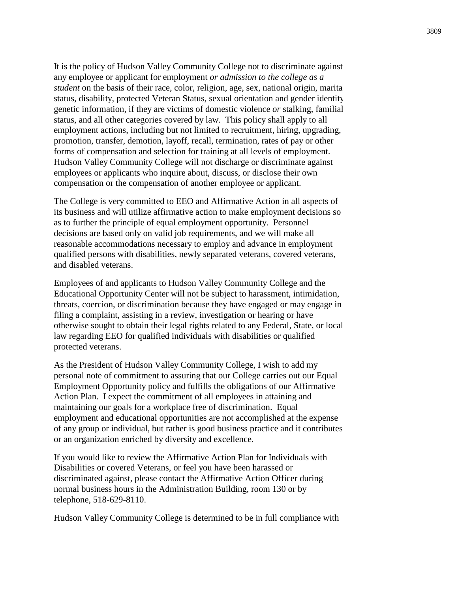It is the policy of Hudson Valley Community College not to discriminate against any employee or applicant for employment *or admission to the college as a student* on the basis of their race, color, religion, age, sex, national origin, marita status, disability, protected Veteran Status, sexual orientation and gender identity genetic information, if they are victims of domestic violence *or* stalking, familial status, and all other categories covered by law. This policy shall apply to all employment actions, including but not limited to recruitment, hiring, upgrading, promotion, transfer, demotion, layoff, recall, termination, rates of pay or other forms of compensation and selection for training at all levels of employment. Hudson Valley Community College will not discharge or discriminate against employees or applicants who inquire about, discuss, or disclose their own compensation or the compensation of another employee or applicant.

The College is very committed to EEO and Affirmative Action in all aspects of its business and will utilize affirmative action to make employment decisions so as to further the principle of equal employment opportunity. Personnel decisions are based only on valid job requirements, and we will make all reasonable accommodations necessary to employ and advance in employment qualified persons with disabilities, newly separated veterans, covered veterans, and disabled veterans.

Employees of and applicants to Hudson Valley Community College and the Educational Opportunity Center will not be subject to harassment, intimidation, threats, coercion, or discrimination because they have engaged or may engage in filing a complaint, assisting in a review, investigation or hearing or have otherwise sought to obtain their legal rights related to any Federal, State, or local law regarding EEO for qualified individuals with disabilities or qualified protected veterans.

As the President of Hudson Valley Community College, I wish to add my personal note of commitment to assuring that our College carries out our Equal Employment Opportunity policy and fulfills the obligations of our Affirmative Action Plan. I expect the commitment of all employees in attaining and maintaining our goals for a workplace free of discrimination. Equal employment and educational opportunities are not accomplished at the expense of any group or individual, but rather is good business practice and it contributes or an organization enriched by diversity and excellence.

If you would like to review the Affirmative Action Plan for Individuals with Disabilities or covered Veterans, or feel you have been harassed or discriminated against, please contact the Affirmative Action Officer during normal business hours in the Administration Building, room 130 or by telephone, 518-629-8110.

Hudson Valley Community College is determined to be in full compliance with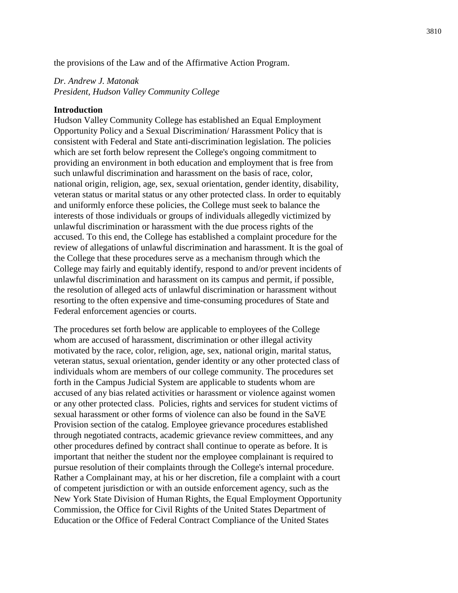the provisions of the Law and of the Affirmative Action Program.

#### *Dr. Andrew J. Matonak President, Hudson Valley Community College*

#### **Introduction**

Hudson Valley Community College has established an Equal Employment Opportunity Policy and a Sexual Discrimination/ Harassment Policy that is consistent with Federal and State anti-discrimination legislation. The policies which are set forth below represent the College's ongoing commitment to providing an environment in both education and employment that is free from such unlawful discrimination and harassment on the basis of race, color, national origin, religion, age, sex, sexual orientation, gender identity, disability, veteran status or marital status or any other protected class. In order to equitably and uniformly enforce these policies, the College must seek to balance the interests of those individuals or groups of individuals allegedly victimized by unlawful discrimination or harassment with the due process rights of the accused. To this end, the College has established a complaint procedure for the review of allegations of unlawful discrimination and harassment. It is the goal of the College that these procedures serve as a mechanism through which the College may fairly and equitably identify, respond to and/or prevent incidents of unlawful discrimination and harassment on its campus and permit, if possible, the resolution of alleged acts of unlawful discrimination or harassment without resorting to the often expensive and time-consuming procedures of State and Federal enforcement agencies or courts.

The procedures set forth below are applicable to employees of the College whom are accused of harassment, discrimination or other illegal activity motivated by the race, color, religion, age, sex, national origin, marital status, veteran status, sexual orientation, gender identity or any other protected class of individuals whom are members of our college community. The procedures set forth in the Campus Judicial System are applicable to students whom are accused of any bias related activities or harassment or violence against women or any other protected class. Policies, rights and services for student victims of sexual harassment or other forms of violence can also be found in the SaVE Provision section of the catalog. Employee grievance procedures established through negotiated contracts, academic grievance review committees, and any other procedures defined by contract shall continue to operate as before. It is important that neither the student nor the employee complainant is required to pursue resolution of their complaints through the College's internal procedure. Rather a Complainant may, at his or her discretion, file a complaint with a court of competent jurisdiction or with an outside enforcement agency, such as the New York State Division of Human Rights, the Equal Employment Opportunity Commission, the Office for Civil Rights of the United States Department of Education or the Office of Federal Contract Compliance of the United States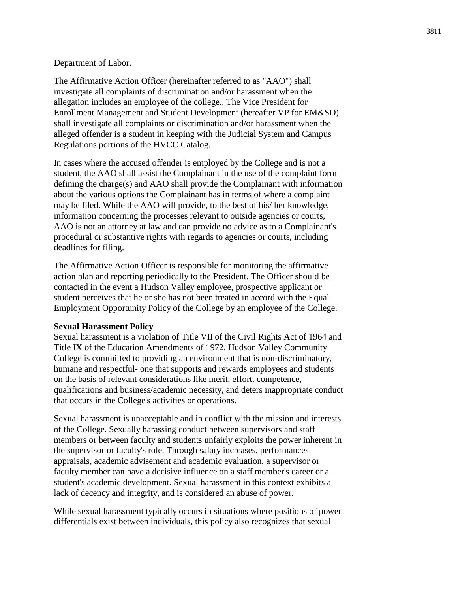#### Department of Labor.

The Affirmative Action Officer (hereinafter referred to as "AAO") shall investigate all complaints of discrimination and/or harassment when the allegation includes an employee of the college.. The Vice President for Enrollment Management and Student Development (hereafter VP for EM&SD) shall investigate all complaints or discrimination and/or harassment when the alleged offender is a student in keeping with the Judicial System and Campus Regulations portions of the HVCC Catalog.

In cases where the accused offender is employed by the College and is not a student, the AAO shall assist the Complainant in the use of the complaint form defining the charge(s) and AAO shall provide the Complainant with information about the various options the Complainant has in terms of where a complaint may be filed. While the AAO will provide, to the best of his/ her knowledge, information concerning the processes relevant to outside agencies or courts, AAO is not an attorney at law and can provide no advice as to a Complainant's procedural or substantive rights with regards to agencies or courts, including deadlines for filing.

The Affirmative Action Officer is responsible for monitoring the affirmative action plan and reporting periodically to the President. The Officer should be contacted in the event a Hudson Valley employee, prospective applicant or student perceives that he or she has not been treated in accord with the Equal Employment Opportunity Policy of the College by an employee of the College.

#### **Sexual Harassment Policy**

Sexual harassment is a violation of Title VII of the Civil Rights Act of 1964 and Title IX of the Education Amendments of 1972. Hudson Valley Community College is committed to providing an environment that is non-discriminatory, humane and respectful- one that supports and rewards employees and students on the basis of relevant considerations like merit, effort, competence, qualifications and business/academic necessity, and deters inappropriate conduct that occurs in the College's activities or operations.

Sexual harassment is unacceptable and in conflict with the mission and interests of the College. Sexually harassing conduct between supervisors and staff members or between faculty and students unfairly exploits the power inherent in the supervisor or faculty's role. Through salary increases, performances appraisals, academic advisement and academic evaluation, a supervisor or faculty member can have a decisive influence on a staff member's career or a student's academic development. Sexual harassment in this context exhibits a lack of decency and integrity, and is considered an abuse of power.

While sexual harassment typically occurs in situations where positions of power differentials exist between individuals, this policy also recognizes that sexual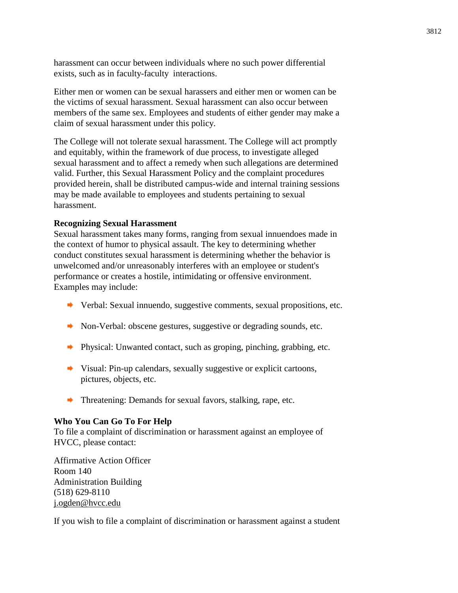harassment can occur between individuals where no such power differential exists, such as in faculty-faculty interactions.

Either men or women can be sexual harassers and either men or women can be the victims of sexual harassment. Sexual harassment can also occur between members of the same sex. Employees and students of either gender may make a claim of sexual harassment under this policy.

The College will not tolerate sexual harassment. The College will act promptly and equitably, within the framework of due process, to investigate alleged sexual harassment and to affect a remedy when such allegations are determined valid. Further, this Sexual Harassment Policy and the complaint procedures provided herein, shall be distributed campus-wide and internal training sessions may be made available to employees and students pertaining to sexual harassment.

# **Recognizing Sexual Harassment**

Sexual harassment takes many forms, ranging from sexual innuendoes made in the context of humor to physical assault. The key to determining whether conduct constitutes sexual harassment is determining whether the behavior is unwelcomed and/or unreasonably interferes with an employee or student's performance or creates a hostile, intimidating or offensive environment. Examples may include:

- Verbal: Sexual innuendo, suggestive comments, sexual propositions, etc.
- Non-Verbal: obscene gestures, suggestive or degrading sounds, etc.
- Physical: Unwanted contact, such as groping, pinching, grabbing, etc.
- Visual: Pin-up calendars, sexually suggestive or explicit cartoons, pictures, objects, etc.
- $\blacktriangleright$  Threatening: Demands for sexual favors, stalking, rape, etc.

#### **Who You Can Go To For Help**

To file a complaint of discrimination or harassment against an employee of HVCC, please contact:

Affirmative Action Officer Room 140 Administration Building (518) 629-8110 [j.ogden@hvcc.edu](mailto:j.ogden@hvcc.edu)

If you wish to file a complaint of discrimination or harassment against a student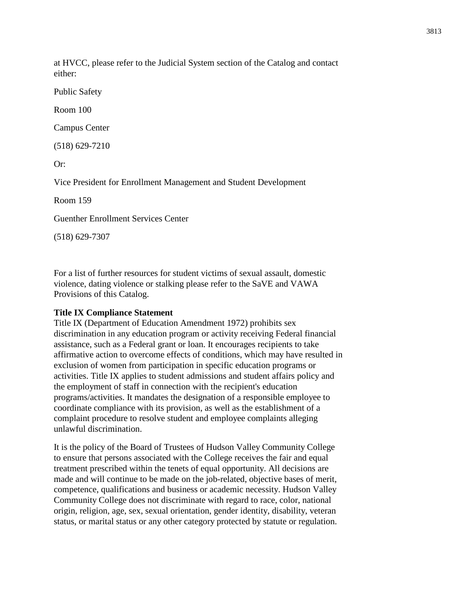at HVCC, please refer to the Judicial System section of the Catalog and contact either:

Public Safety

Room 100

Campus Center

(518) 629-7210

Or:

Vice President for Enrollment Management and Student Development

Room 159

Guenther Enrollment Services Center

(518) 629-7307

For a list of further resources for student victims of sexual assault, domestic violence, dating violence or stalking please refer to the SaVE and VAWA Provisions of this Catalog.

# **Title IX Compliance Statement**

Title IX (Department of Education Amendment 1972) prohibits sex discrimination in any education program or activity receiving Federal financial assistance, such as a Federal grant or loan. It encourages recipients to take affirmative action to overcome effects of conditions, which may have resulted in exclusion of women from participation in specific education programs or activities. Title IX applies to student admissions and student affairs policy and the employment of staff in connection with the recipient's education programs/activities. It mandates the designation of a responsible employee to coordinate compliance with its provision, as well as the establishment of a complaint procedure to resolve student and employee complaints alleging unlawful discrimination.

It is the policy of the Board of Trustees of Hudson Valley Community College to ensure that persons associated with the College receives the fair and equal treatment prescribed within the tenets of equal opportunity. All decisions are made and will continue to be made on the job-related, objective bases of merit, competence, qualifications and business or academic necessity. Hudson Valley Community College does not discriminate with regard to race, color, national origin, religion, age, sex, sexual orientation, gender identity, disability, veteran status, or marital status or any other category protected by statute or regulation.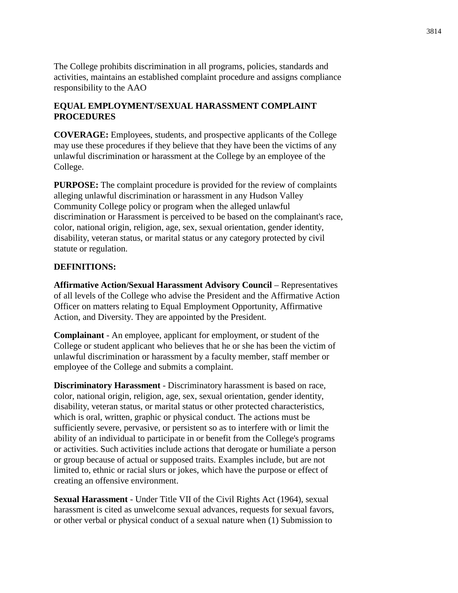The College prohibits discrimination in all programs, policies, standards and activities, maintains an established complaint procedure and assigns compliance responsibility to the AAO

# **EQUAL EMPLOYMENT/SEXUAL HARASSMENT COMPLAINT PROCEDURES**

**COVERAGE:** Employees, students, and prospective applicants of the College may use these procedures if they believe that they have been the victims of any unlawful discrimination or harassment at the College by an employee of the College.

**PURPOSE:** The complaint procedure is provided for the review of complaints alleging unlawful discrimination or harassment in any Hudson Valley Community College policy or program when the alleged unlawful discrimination or Harassment is perceived to be based on the complainant's race, color, national origin, religion, age, sex, sexual orientation, gender identity, disability, veteran status, or marital status or any category protected by civil statute or regulation.

# **DEFINITIONS:**

**Affirmative Action/Sexual Harassment Advisory Council** – Representatives of all levels of the College who advise the President and the Affirmative Action Officer on matters relating to Equal Employment Opportunity, Affirmative Action, and Diversity. They are appointed by the President.

**Complainant** - An employee, applicant for employment, or student of the College or student applicant who believes that he or she has been the victim of unlawful discrimination or harassment by a faculty member, staff member or employee of the College and submits a complaint.

**Discriminatory Harassment** - Discriminatory harassment is based on race, color, national origin, religion, age, sex, sexual orientation, gender identity, disability, veteran status, or marital status or other protected characteristics, which is oral, written, graphic or physical conduct. The actions must be sufficiently severe, pervasive, or persistent so as to interfere with or limit the ability of an individual to participate in or benefit from the College's programs or activities. Such activities include actions that derogate or humiliate a person or group because of actual or supposed traits. Examples include, but are not limited to, ethnic or racial slurs or jokes, which have the purpose or effect of creating an offensive environment.

**Sexual Harassment** - Under Title VII of the Civil Rights Act (1964), sexual harassment is cited as unwelcome sexual advances, requests for sexual favors, or other verbal or physical conduct of a sexual nature when (1) Submission to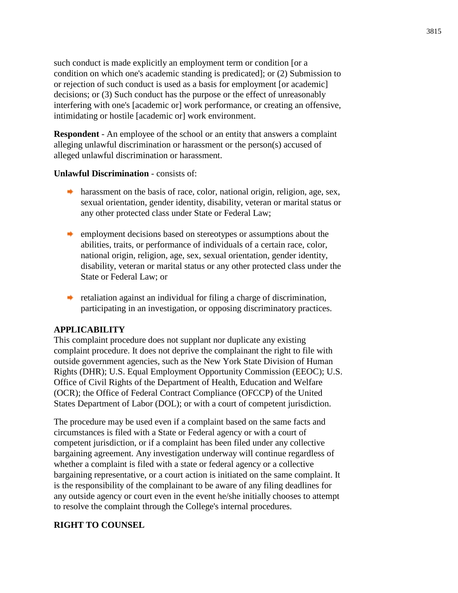such conduct is made explicitly an employment term or condition [or a condition on which one's academic standing is predicated]; or (2) Submission to or rejection of such conduct is used as a basis for employment [or academic] decisions; or (3) Such conduct has the purpose or the effect of unreasonably interfering with one's [academic or] work performance, or creating an offensive, intimidating or hostile [academic or] work environment.

**Respondent** - An employee of the school or an entity that answers a complaint alleging unlawful discrimination or harassment or the person(s) accused of alleged unlawful discrimination or harassment.

#### **Unlawful Discrimination** - consists of:

- harassment on the basis of race, color, national origin, religion, age, sex, sexual orientation, gender identity, disability, veteran or marital status or any other protected class under State or Federal Law;
- remployment decisions based on stereotypes or assumptions about the abilities, traits, or performance of individuals of a certain race, color, national origin, religion, age, sex, sexual orientation, gender identity, disability, veteran or marital status or any other protected class under the State or Federal Law; or
- $\bullet$  retaliation against an individual for filing a charge of discrimination, participating in an investigation, or opposing discriminatory practices.

#### **APPLICABILITY**

This complaint procedure does not supplant nor duplicate any existing complaint procedure. It does not deprive the complainant the right to file with outside government agencies, such as the New York State Division of Human Rights (DHR); U.S. Equal Employment Opportunity Commission (EEOC); U.S. Office of Civil Rights of the Department of Health, Education and Welfare (OCR); the Office of Federal Contract Compliance (OFCCP) of the United States Department of Labor (DOL); or with a court of competent jurisdiction.

The procedure may be used even if a complaint based on the same facts and circumstances is filed with a State or Federal agency or with a court of competent jurisdiction, or if a complaint has been filed under any collective bargaining agreement. Any investigation underway will continue regardless of whether a complaint is filed with a state or federal agency or a collective bargaining representative, or a court action is initiated on the same complaint. It is the responsibility of the complainant to be aware of any filing deadlines for any outside agency or court even in the event he/she initially chooses to attempt to resolve the complaint through the College's internal procedures.

# **RIGHT TO COUNSEL**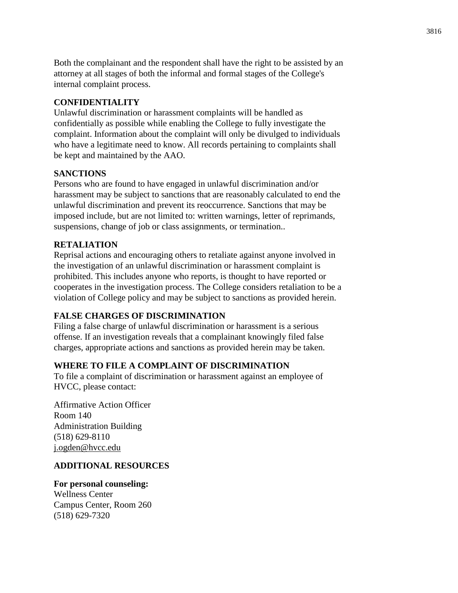Both the complainant and the respondent shall have the right to be assisted by an attorney at all stages of both the informal and formal stages of the College's internal complaint process.

# **CONFIDENTIALITY**

Unlawful discrimination or harassment complaints will be handled as confidentially as possible while enabling the College to fully investigate the complaint. Information about the complaint will only be divulged to individuals who have a legitimate need to know. All records pertaining to complaints shall be kept and maintained by the AAO.

# **SANCTIONS**

Persons who are found to have engaged in unlawful discrimination and/or harassment may be subject to sanctions that are reasonably calculated to end the unlawful discrimination and prevent its reoccurrence. Sanctions that may be imposed include, but are not limited to: written warnings, letter of reprimands, suspensions, change of job or class assignments, or termination...

# **RETALIATION**

Reprisal actions and encouraging others to retaliate against anyone involved in the investigation of an unlawful discrimination or harassment complaint is prohibited. This includes anyone who reports, is thought to have reported or cooperates in the investigation process. The College considers retaliation to be a violation of College policy and may be subject to sanctions as provided herein.

# **FALSE CHARGES OF DISCRIMINATION**

Filing a false charge of unlawful discrimination or harassment is a serious offense. If an investigation reveals that a complainant knowingly filed false charges, appropriate actions and sanctions as provided herein may be taken.

# **WHERE TO FILE A COMPLAINT OF DISCRIMINATION**

To file a complaint of discrimination or harassment against an employee of HVCC, please contact:

Affirmative Action Officer Room 140 Administration Building (518) 629-8110 [j.ogden@hvcc.edu](mailto:j.ogden@hvcc.edu)

# **ADDITIONAL RESOURCES**

# **For personal counseling:**

Wellness Center Campus Center, Room 260 (518) 629-7320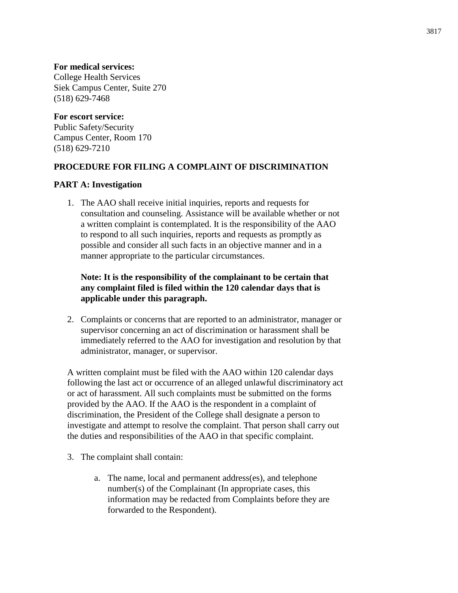# **For medical services:**

College Health Services Siek Campus Center, Suite 270 (518) 629-7468

# **For escort service:**

Public Safety/Security Campus Center, Room 170 (518) 629-7210

# **PROCEDURE FOR FILING A COMPLAINT OF DISCRIMINATION**

# **PART A: Investigation**

1. The AAO shall receive initial inquiries, reports and requests for consultation and counseling. Assistance will be available whether or not a written complaint is contemplated. It is the responsibility of the AAO to respond to all such inquiries, reports and requests as promptly as possible and consider all such facts in an objective manner and in a manner appropriate to the particular circumstances.

# **Note: It is the responsibility of the complainant to be certain that any complaint filed is filed within the 120 calendar days that is applicable under this paragraph.**

2. Complaints or concerns that are reported to an administrator, manager or supervisor concerning an act of discrimination or harassment shall be immediately referred to the AAO for investigation and resolution by that administrator, manager, or supervisor.

A written complaint must be filed with the AAO within 120 calendar days following the last act or occurrence of an alleged unlawful discriminatory act or act of harassment. All such complaints must be submitted on the forms provided by the AAO. If the AAO is the respondent in a complaint of discrimination, the President of the College shall designate a person to investigate and attempt to resolve the complaint. That person shall carry out the duties and responsibilities of the AAO in that specific complaint.

- 3. The complaint shall contain:
	- a. The name, local and permanent address(es), and telephone number(s) of the Complainant (In appropriate cases, this information may be redacted from Complaints before they are forwarded to the Respondent).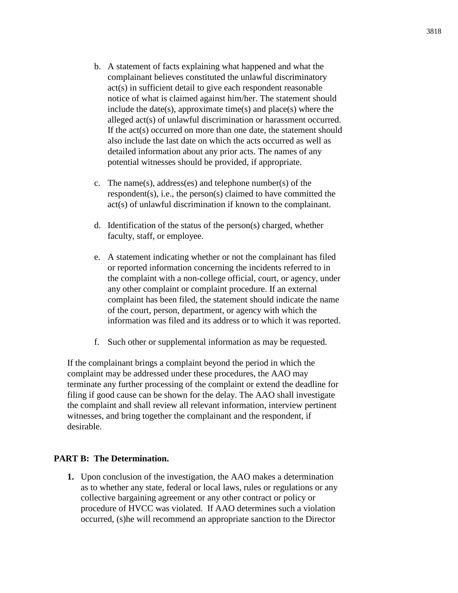- b. A statement of facts explaining what happened and what the complainant believes constituted the unlawful discriminatory act(s) in sufficient detail to give each respondent reasonable notice of what is claimed against him/her. The statement should include the date(s), approximate time(s) and place(s) where the alleged act(s) of unlawful discrimination or harassment occurred. If the act(s) occurred on more than one date, the statement should also include the last date on which the acts occurred as well as detailed information about any prior acts. The names of any potential witnesses should be provided, if appropriate.
- c. The name(s), address(es) and telephone number(s) of the respondent(s), i.e., the person(s) claimed to have committed the act(s) of unlawful discrimination if known to the complainant.
- d. Identification of the status of the person(s) charged, whether faculty, staff, or employee.
- e. A statement indicating whether or not the complainant has filed or reported information concerning the incidents referred to in the complaint with a non-college official, court, or agency, under any other complaint or complaint procedure. If an external complaint has been filed, the statement should indicate the name of the court, person, department, or agency with which the information was filed and its address or to which it was reported.
- f. Such other or supplemental information as may be requested.

If the complainant brings a complaint beyond the period in which the complaint may be addressed under these procedures, the AAO may terminate any further processing of the complaint or extend the deadline for filing if good cause can be shown for the delay. The AAO shall investigate the complaint and shall review all relevant information, interview pertinent witnesses, and bring together the complainant and the respondent, if desirable.

#### **PART B: The Determination.**

**1.** Upon conclusion of the investigation, the AAO makes a determination as to whether any state, federal or local laws, rules or regulations or any collective bargaining agreement or any other contract or policy or procedure of HVCC was violated. If AAO determines such a violation occurred, (s)he will recommend an appropriate sanction to the Director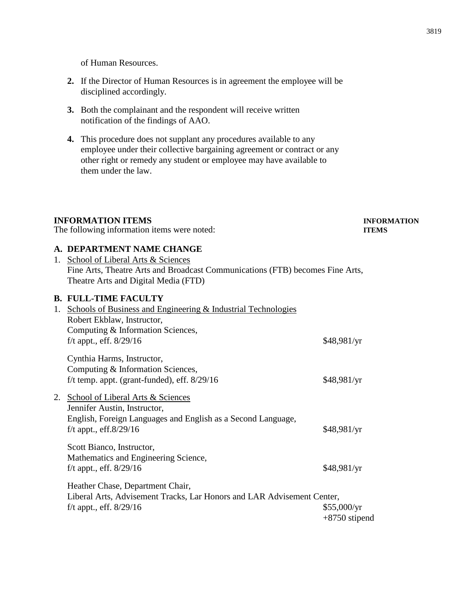of Human Resources.

- **2.** If the Director of Human Resources is in agreement the employee will be disciplined accordingly.
- **3.** Both the complainant and the respondent will receive written notification of the findings of AAO.
- **4.** This procedure does not supplant any procedures available to any employee under their collective bargaining agreement or contract or any other right or remedy any student or employee may have available to them under the law.

# **INFORMATION ITEMS INFORMATION**

The following information items were noted: **ITEMS** 

# **A. DEPARTMENT NAME CHANGE**

| 1. School of Liberal Arts & Sciences                                          |
|-------------------------------------------------------------------------------|
| Fine Arts, Theatre Arts and Broadcast Communications (FTB) becomes Fine Arts, |
| Theatre Arts and Digital Media (FTD)                                          |

#### **B. FULL-TIME FACULTY**

| 1. | Schools of Business and Engineering & Industrial Technologies                                  |                                |
|----|------------------------------------------------------------------------------------------------|--------------------------------|
|    | Robert Ekblaw, Instructor,                                                                     |                                |
|    | Computing & Information Sciences,                                                              |                                |
|    | f/t appt., eff. $8/29/16$                                                                      | \$48,981/yr                    |
|    | Cynthia Harms, Instructor,                                                                     |                                |
|    | Computing & Information Sciences,                                                              |                                |
|    | f/t temp. appt. (grant-funded), eff. $8/29/16$                                                 | \$48,981/yr                    |
| 2. | School of Liberal Arts & Sciences<br>Jennifer Austin, Instructor,                              |                                |
|    | English, Foreign Languages and English as a Second Language,<br>f/t appt., eff. $8/29/16$      | \$48,981/yr                    |
|    | Scott Bianco, Instructor,<br>Mathematics and Engineering Science,<br>f/t appt., eff. $8/29/16$ | \$48,981/yr                    |
|    |                                                                                                |                                |
|    | Heather Chase, Department Chair,                                                               |                                |
|    | Liberal Arts, Advisement Tracks, Lar Honors and LAR Advisement Center,                         |                                |
|    | f/t appt., eff. $8/29/16$                                                                      | \$55,000/yr<br>$+8750$ stipend |
|    |                                                                                                |                                |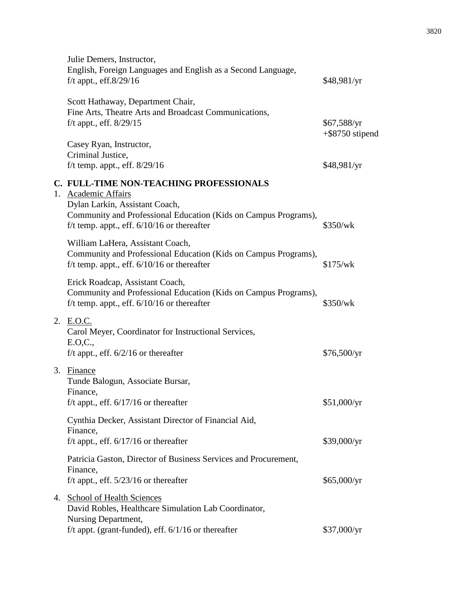|    | Julie Demers, Instructor,<br>English, Foreign Languages and English as a Second Language,<br>f/t appt., eff. $8/29/16$                                                                                            | \$48,981/yr                       |
|----|-------------------------------------------------------------------------------------------------------------------------------------------------------------------------------------------------------------------|-----------------------------------|
|    | Scott Hathaway, Department Chair,<br>Fine Arts, Theatre Arts and Broadcast Communications,<br>f/t appt., eff. 8/29/15                                                                                             | \$67,588/yr<br>$+$ \$8750 stipend |
|    | Casey Ryan, Instructor,<br>Criminal Justice,<br>f/t temp. appt., eff. $8/29/16$                                                                                                                                   | \$48,981/yr                       |
| 1. | C. FULL-TIME NON-TEACHING PROFESSIONALS<br>Academic Affairs<br>Dylan Larkin, Assistant Coach,<br>Community and Professional Education (Kids on Campus Programs),<br>f/t temp. appt., eff. $6/10/16$ or thereafter | \$350/wk                          |
|    | William LaHera, Assistant Coach,<br>Community and Professional Education (Kids on Campus Programs),<br>f/t temp. appt., eff. $6/10/16$ or thereafter                                                              | \$175/wk                          |
|    | Erick Roadcap, Assistant Coach,<br>Community and Professional Education (Kids on Campus Programs),<br>f/t temp. appt., eff. $6/10/16$ or thereafter                                                               | \$350/wk                          |
|    | 2. E.O.C.<br>Carol Meyer, Coordinator for Instructional Services,<br>E.O.C.,<br>f/t appt., eff. $6/2/16$ or thereafter                                                                                            | \$76,500/yr                       |
|    | 3. Finance<br>Tunde Balogun, Associate Bursar,<br>Finance,<br>f/t appt., eff. $6/17/16$ or thereafter                                                                                                             | \$51,000/yr                       |
|    | Cynthia Decker, Assistant Director of Financial Aid,<br>Finance,<br>f/t appt., eff. $6/17/16$ or thereafter                                                                                                       | \$39,000/yr                       |
|    | Patricia Gaston, Director of Business Services and Procurement,<br>Finance,<br>f/t appt., eff. $5/23/16$ or thereafter                                                                                            | \$65,000/yr                       |
|    | 4. School of Health Sciences<br>David Robles, Healthcare Simulation Lab Coordinator,<br>Nursing Department,                                                                                                       |                                   |
|    | f/t appt. (grant-funded), eff. $6/1/16$ or thereafter                                                                                                                                                             | \$37,000/yr                       |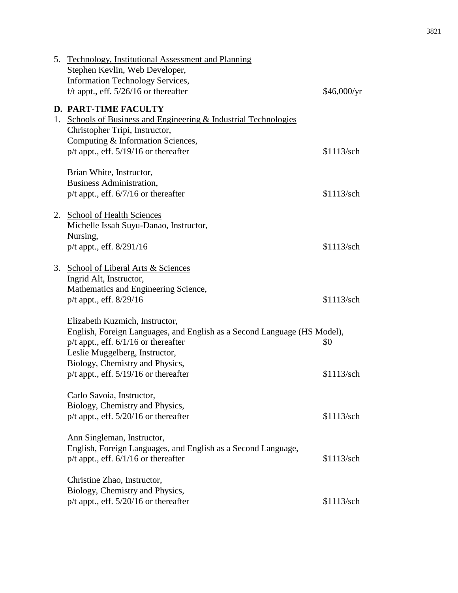|    | 5. Technology, Institutional Assessment and Planning<br>Stephen Kevlin, Web Developer,<br><b>Information Technology Services,</b><br>f/t appt., eff. $5/26/16$ or thereafter                                                                                             | \$46,000/yr       |
|----|--------------------------------------------------------------------------------------------------------------------------------------------------------------------------------------------------------------------------------------------------------------------------|-------------------|
| 1. | <b>D. PART-TIME FACULTY</b><br><b>Schools of Business and Engineering &amp; Industrial Technologies</b><br>Christopher Tripi, Instructor,<br>Computing & Information Sciences,<br>$p/t$ appt., eff. $5/19/16$ or thereafter                                              | \$1113/sch        |
|    | Brian White, Instructor,<br><b>Business Administration,</b><br>$p/t$ appt., eff. 6/7/16 or thereafter                                                                                                                                                                    | \$1113/sch        |
|    | 2. School of Health Sciences<br>Michelle Issah Suyu-Danao, Instructor,<br>Nursing,<br>p/t appt., eff. 8/291/16                                                                                                                                                           | \$1113/sch        |
|    | 3. School of Liberal Arts & Sciences<br>Ingrid Alt, Instructor,<br>Mathematics and Engineering Science,<br>p/t appt., eff. 8/29/16                                                                                                                                       | \$1113/sch        |
|    | Elizabeth Kuzmich, Instructor,<br>English, Foreign Languages, and English as a Second Language (HS Model),<br>$p/t$ appt., eff. $6/1/16$ or thereafter<br>Leslie Muggelberg, Instructor,<br>Biology, Chemistry and Physics,<br>$p/t$ appt., eff. $5/19/16$ or thereafter | \$0<br>\$1113/sch |
|    | Carlo Savoia, Instructor,<br>Biology, Chemistry and Physics,<br>$p/t$ appt., eff. 5/20/16 or thereafter                                                                                                                                                                  | \$1113/sch        |
|    | Ann Singleman, Instructor,<br>English, Foreign Languages, and English as a Second Language,<br>$p/t$ appt., eff. $6/1/16$ or thereafter                                                                                                                                  | \$1113/sch        |
|    | Christine Zhao, Instructor,<br>Biology, Chemistry and Physics,<br>p/t appt., eff. 5/20/16 or thereafter                                                                                                                                                                  | \$1113/sch        |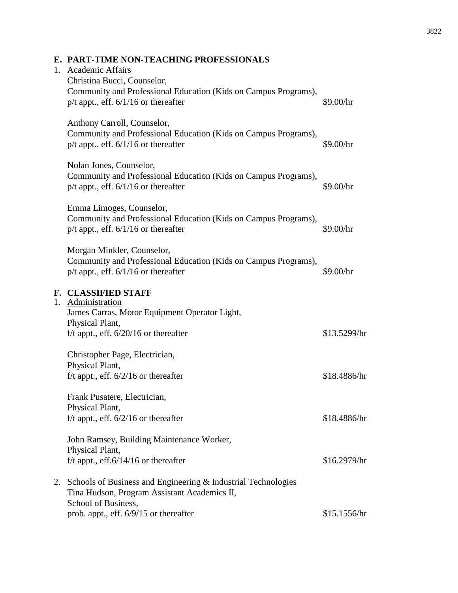| <b>PART-TIME NON-TEACHING PROFESSIONALS</b>                                                                                                |              |
|--------------------------------------------------------------------------------------------------------------------------------------------|--------------|
| <b>Academic Affairs</b><br>Christina Bucci, Counselor,                                                                                     |              |
| Community and Professional Education (Kids on Campus Programs),<br>$p/t$ appt., eff. $6/1/16$ or thereafter                                | \$9.00/hr    |
| Anthony Carroll, Counselor,<br>Community and Professional Education (Kids on Campus Programs),<br>$p/t$ appt., eff. $6/1/16$ or thereafter | \$9.00/hr    |
| Nolan Jones, Counselor,<br>Community and Professional Education (Kids on Campus Programs),<br>$p/t$ appt., eff. $6/1/16$ or thereafter     | \$9.00/hr    |
| Emma Limoges, Counselor,<br>Community and Professional Education (Kids on Campus Programs),<br>$p/t$ appt., eff. $6/1/16$ or thereafter    | \$9.00/hr    |
| Morgan Minkler, Counselor,<br>Community and Professional Education (Kids on Campus Programs),<br>$p/t$ appt., eff. $6/1/16$ or thereafter  | \$9.00/hr    |
| <b>CLASSIFIED STAFF</b><br>Administration<br>James Carras, Motor Equipment Operator Light,<br>Physical Plant,                              |              |
| f/t appt., eff. $6/20/16$ or thereafter                                                                                                    | \$13.5299/hr |
| Christopher Dega Electrician                                                                                                               |              |

# Physical Plant, f/t appt., eff.  $6/20/16$  or thereafter Christopher Page, Electrician, Physical Plant,  $f/t$  appt., eff.  $6/2/16$  or thereafter \$18.4886/hr

Frank Pusatere, Electrician, Physical Plant, f/t appt., eff.  $6/2/16$  or thereafter \$18.4886/hr

John Ramsey, Building Maintenance Worker, Physical Plant,  $f/t$  appt., eff.6/14/16 or thereafter  $$16.2979/hr$ 

2. Schools of Business and Engineering & Industrial Technologies Tina Hudson, Program Assistant Academics II, School of Business, prob. appt., eff. 6/9/15 or thereafter \$15.1556/hr

# **E. PART-TIME NON-TEACHING**

1. Academic Affairs

**F. CLASSIFIED STAFF**

1. Administration